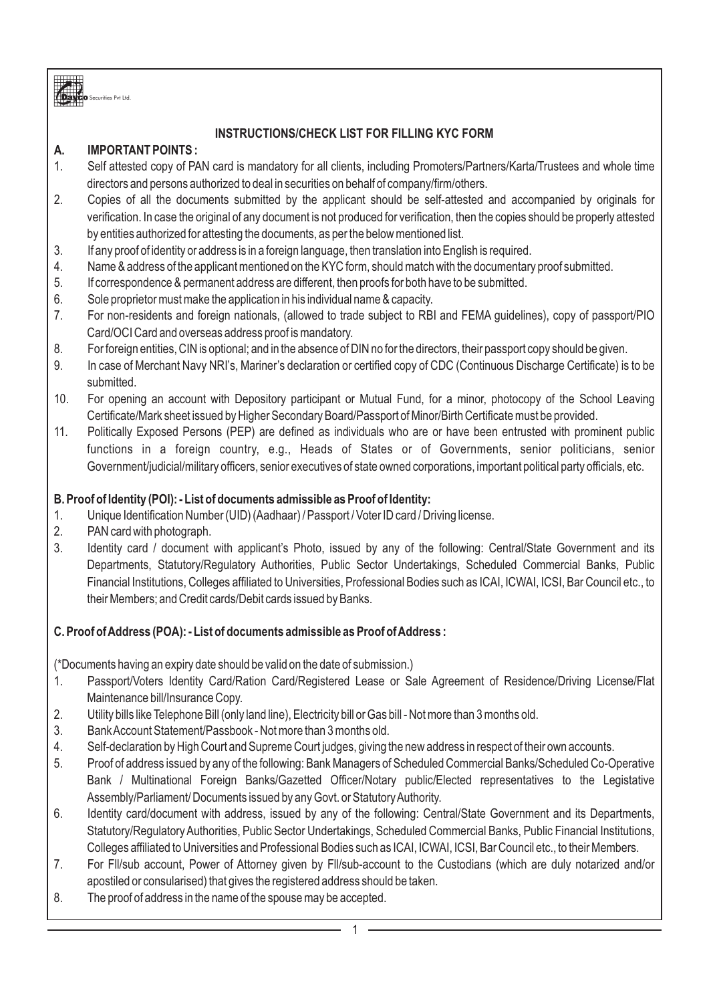

# **INSTRUCTIONS/CHECK LIST FOR FILLING KYC FORM**

# **A. IMPORTANT POINTS :**

- 1. Self attested copy of PAN card is mandatory for all clients, including Promoters/Partners/Karta/Trustees and whole time directors and persons authorized to deal in securities on behalf of company/firm/others.
- 2. Copies of all the documents submitted by the applicant should be self-attested and accompanied by originals for verification. In case the original of any document is not produced for verification, then the copies should be properly attested by entities authorized for attesting the documents, as per the below mentioned list.
- 3. If any proof of identity or address is in a foreign language, then translation into English is required.
- 4. Name & address of the applicant mentioned on the KYC form, should match with the documentary proof submitted.
- 5. If correspondence & permanent address are different, then proofs for both have to be submitted.
- 6. Sole proprietor must make the application in his individual name & capacity.
- 7. For non-residents and foreign nationals, (allowed to trade subject to RBI and FEMA guidelines), copy of passport/PIO Card/OCI Card and overseas address proof is mandatory.
- 8. For foreign entities, CIN is optional; and in the absence of DIN no for the directors, their passport copy should be given.
- 9. In case of Merchant Navy NRI's, Mariner's declaration or certified copy of CDC (Continuous Discharge Certificate) is to be submitted.
- 10. For opening an account with Depository participant or Mutual Fund, for a minor, photocopy of the School Leaving Certificate/Mark sheet issued by Higher Secondary Board/Passport of Minor/Birth Certificate must be provided.
- 11. Politically Exposed Persons (PEP) are defined as individuals who are or have been entrusted with prominent public functions in a foreign country, e.g., Heads of States or of Governments, senior politicians, senior Government/judicial/military officers, senior executives of state owned corporations, important political party officials, etc.

# **B. Proof of Identity (POI): - List of documents admissible as Proof of Identity:**

- 1. Unique Identification Number (UID) (Aadhaar) / Passport / Voter ID card / Driving license.
- 2. PAN card with photograph.
- 3. Identity card / document with applicant's Photo, issued by any of the following: Central/State Government and its Departments, Statutory/Regulatory Authorities, Public Sector Undertakings, Scheduled Commercial Banks, Public Financial Institutions, Colleges affiliated to Universities, Professional Bodies such as ICAI, ICWAI, ICSI, Bar Council etc., to their Members; and Credit cards/Debit cards issued by Banks.

# **C. Proof of Address (POA): - List of documents admissible as Proof of Address :**

(\*Documents having an expiry date should be valid on the date of submission.)

- 1. Passport/Voters Identity Card/Ration Card/Registered Lease or Sale Agreement of Residence/Driving License/Flat Maintenance bill/Insurance Copy.
- 2. Utility bills like Telephone Bill (only land line), Electricity bill or Gas bill Not more than 3 months old.
- 3. Bank Account Statement/Passbook Not more than 3 months old.
- 4. Self-declaration by High Court and Supreme Court judges, giving the new address in respect of their own accounts.
- 5. Proof of address issued by any of the following: Bank Managers of Scheduled Commercial Banks/Scheduled Co-Operative Bank / Multinational Foreign Banks/Gazetted Officer/Notary public/Elected representatives to the Legistative Assembly/Parliament/ Documents issued by any Govt. or Statutory Authority.
- 6. Identity card/document with address, issued by any of the following: Central/State Government and its Departments, Statutory/Regulatory Authorities, Public Sector Undertakings, Scheduled Commercial Banks, Public Financial Institutions, Colleges affiliated to Universities and Professional Bodies such as ICAI, ICWAI, ICSI, Bar Council etc., to their Members.
- 7. For Fll/sub account, Power of Attorney given by Fll/sub-account to the Custodians (which are duly notarized and/or apostiled or consularised) that gives the registered address should be taken.
- 8. The proof of address in the name of the spouse may be accepted.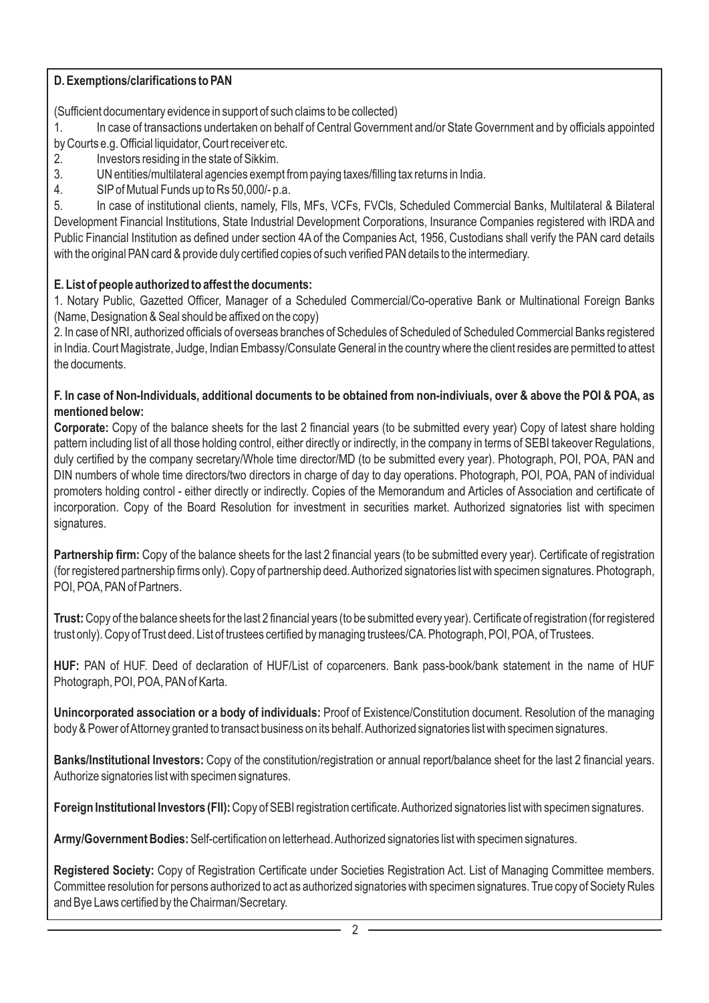# **D. Exemptions/clarifications to PAN**

(Sufficient documentary evidence in support of such claims to be collected)

1. In case of transactions undertaken on behalf of Central Government and/or State Government and by officials appointed by Courts e.g. Official liquidator, Court receiver etc.

- 2. Investors residing in the state of Sikkim.
- 3. UN entities/multilateral agencies exempt from paying taxes/filling tax returns in India.
- 4. SIPof Mutual Funds up to Rs 50,000/- p.a.

5. In case of institutional clients, namely, Flls, MFs, VCFs, FVCls, Scheduled Commercial Banks, Multilateral & Bilateral Development Financial Institutions, State Industrial Development Corporations, Insurance Companies registered with IRDA and Public Financial Institution as defined under section 4A of the Companies Act, 1956, Custodians shall verify the PAN card details with the original PAN card & provide duly certified copies of such verified PAN details to the intermediary.

# **E. List of people authorized to affest the documents:**

1. Notary Public, Gazetted Officer, Manager of a Scheduled Commercial/Co-operative Bank or Multinational Foreign Banks (Name, Designation & Seal should be affixed on the copy)

2. In case of NRI, authorized officials of overseas branches of Schedules of Scheduled of Scheduled Commercial Banks registered in India. Court Magistrate, Judge, Indian Embassy/Consulate General in the country where the client resides are permitted to attest the documents.

### **F. In case of Non-Individuals, additional documents to be obtained from non-indiviuals, over & above the POI & POA, as mentioned below:**

**Corporate:** Copy of the balance sheets for the last 2 financial years (to be submitted every year) Copy of latest share holding pattern including list of all those holding control, either directly or indirectly, in the company in terms of SEBI takeover Regulations, duly certified by the company secretary/Whole time director/MD (to be submitted every year). Photograph, POI, POA, PAN and DIN numbers of whole time directors/two directors in charge of day to day operations. Photograph, POI, POA, PAN of individual promoters holding control - either directly or indirectly. Copies of the Memorandum and Articles of Association and certificate of incorporation. Copy of the Board Resolution for investment in securities market. Authorized signatories list with specimen signatures.

**Partnership firm:** Copy of the balance sheets for the last 2 financial years (to be submitted every year). Certificate of registration (for registered partnership firms only). Copy of partnership deed. Authorized signatories list with specimen signatures. Photograph, POI, POA, PAN of Partners.

**Trust:**Copy of the balance sheets for the last 2 financial years (to be submitted every year). Certificate of registration (for registered trust only). Copy of Trust deed. List of trustees certified by managing trustees/CA. Photograph, POI, POA, of Trustees.

**HUF:** PAN of HUF. Deed of declaration of HUF/List of coparceners. Bank pass-book/bank statement in the name of HUF Photograph, POI, POA, PAN of Karta.

**Unincorporated association or a body of individuals:** Proof of Existence/Constitution document. Resolution of the managing body & Power of Attorney granted to transact business on its behalf. Authorized signatories list with specimen signatures.

**Banks/Institutional Investors:** Copy of the constitution/registration or annual report/balance sheet for the last 2 financial years. Authorize signatories list with specimen signatures.

**Foreign Institutional Investors (FII):**Copy of SEBI registration certificate. Authorized signatories list with specimen signatures.

**Army/Government Bodies:**Self-certification on letterhead. Authorized signatories list with specimen signatures.

**Registered Society:** Copy of Registration Certificate under Societies Registration Act. List of Managing Committee members. Committee resolution for persons authorized to act as authorized signatories with specimen signatures. True copy of Society Rules and Bye Laws certified by the Chairman/Secretary.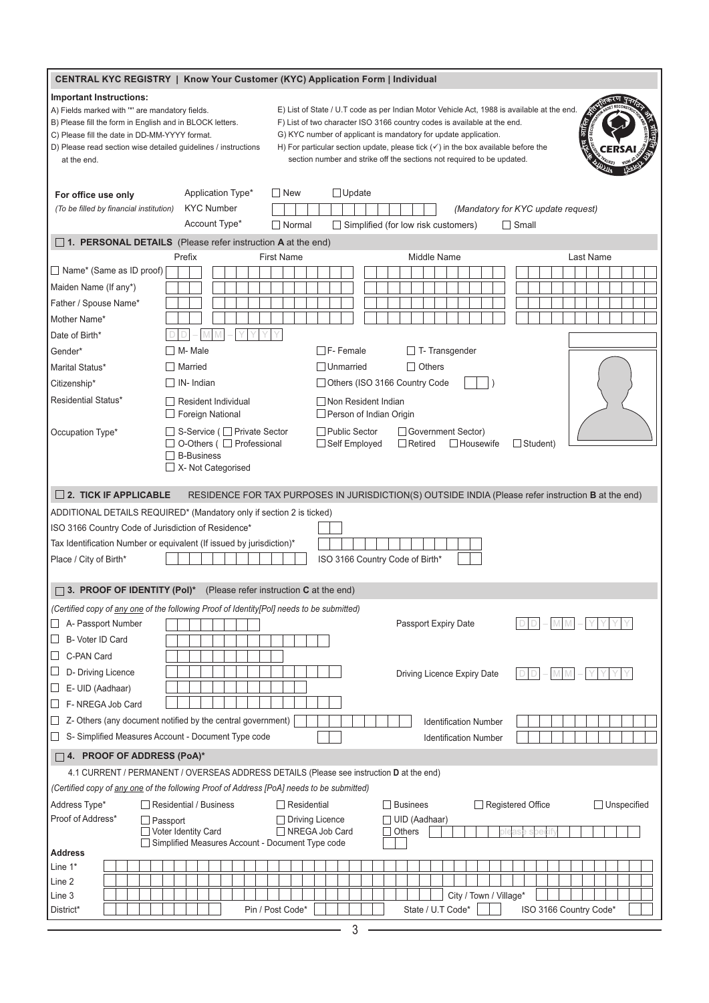| <b>CENTRAL KYC REGISTRY   Know Your Customer (KYC) Application Form   Individual</b>                                                                                                                                                                                                                                                                                                                                                                                                                                                                                                                                                                                                            |                                                                                                                |                                                                                                            |  |  |
|-------------------------------------------------------------------------------------------------------------------------------------------------------------------------------------------------------------------------------------------------------------------------------------------------------------------------------------------------------------------------------------------------------------------------------------------------------------------------------------------------------------------------------------------------------------------------------------------------------------------------------------------------------------------------------------------------|----------------------------------------------------------------------------------------------------------------|------------------------------------------------------------------------------------------------------------|--|--|
| Important Instructions:<br>E) List of State / U.T code as per Indian Motor Vehicle Act, 1988 is available at the end.<br>A) Fields marked with "*' are mandatory fields.<br>F) List of two character ISO 3166 country codes is available at the end.<br>B) Please fill the form in English and in BLOCK letters.<br>G) KYC number of applicant is mandatory for update application.<br>C) Please fill the date in DD-MM-YYYY format.<br>H) For particular section update, please tick $(\checkmark)$ in the box available before the<br>D) Please read section wise detailed quidelines / instructions<br>section number and strike off the sections not required to be updated.<br>at the end. |                                                                                                                |                                                                                                            |  |  |
| For office use only                                                                                                                                                                                                                                                                                                                                                                                                                                                                                                                                                                                                                                                                             | Application Type*<br>$\Box$ New                                                                                | $\Box$ Update                                                                                              |  |  |
| (To be filled by financial institution)                                                                                                                                                                                                                                                                                                                                                                                                                                                                                                                                                                                                                                                         | <b>KYC Number</b>                                                                                              | (Mandatory for KYC update request)                                                                         |  |  |
|                                                                                                                                                                                                                                                                                                                                                                                                                                                                                                                                                                                                                                                                                                 | Account Type*<br>$\Box$ Normal                                                                                 | $\Box$ Simplified (for low risk customers)<br>$\Box$ Small                                                 |  |  |
|                                                                                                                                                                                                                                                                                                                                                                                                                                                                                                                                                                                                                                                                                                 | $\Box$ 1. PERSONAL DETAILS (Please refer instruction A at the end)                                             |                                                                                                            |  |  |
| □ Name* (Same as ID proof)                                                                                                                                                                                                                                                                                                                                                                                                                                                                                                                                                                                                                                                                      | Prefix<br><b>First Name</b>                                                                                    | Middle Name<br>Last Name                                                                                   |  |  |
| Maiden Name (If any*)                                                                                                                                                                                                                                                                                                                                                                                                                                                                                                                                                                                                                                                                           |                                                                                                                |                                                                                                            |  |  |
| Father / Spouse Name*                                                                                                                                                                                                                                                                                                                                                                                                                                                                                                                                                                                                                                                                           |                                                                                                                |                                                                                                            |  |  |
| Mother Name*                                                                                                                                                                                                                                                                                                                                                                                                                                                                                                                                                                                                                                                                                    |                                                                                                                |                                                                                                            |  |  |
| Date of Birth*                                                                                                                                                                                                                                                                                                                                                                                                                                                                                                                                                                                                                                                                                  |                                                                                                                |                                                                                                            |  |  |
| Gender*                                                                                                                                                                                                                                                                                                                                                                                                                                                                                                                                                                                                                                                                                         | $\Box$ M- Male                                                                                                 | $\Box$ F- Female<br>$\Box$ T- Transgender                                                                  |  |  |
|                                                                                                                                                                                                                                                                                                                                                                                                                                                                                                                                                                                                                                                                                                 | $\Box$ Married                                                                                                 | $\Box$ Others<br>□ Unmarried                                                                               |  |  |
| Marital Status*                                                                                                                                                                                                                                                                                                                                                                                                                                                                                                                                                                                                                                                                                 | $\Box$ IN- Indian                                                                                              | Others (ISO 3166 Country Code                                                                              |  |  |
| Citizenship*                                                                                                                                                                                                                                                                                                                                                                                                                                                                                                                                                                                                                                                                                    |                                                                                                                |                                                                                                            |  |  |
| <b>Residential Status*</b>                                                                                                                                                                                                                                                                                                                                                                                                                                                                                                                                                                                                                                                                      | Resident Individual<br>$\Box$ Foreign National                                                                 | □ Non Resident Indian<br>Person of Indian Origin                                                           |  |  |
| Occupation Type*                                                                                                                                                                                                                                                                                                                                                                                                                                                                                                                                                                                                                                                                                | □ S-Service (□ Private Sector<br>□ O-Others ( □ Professional<br>$\Box$ B-Business<br>$\Box$ X- Not Categorised | □ Public Sector<br>Government Sector)<br>□ Self Employed<br>$\Box$ Retired<br>Housewife<br>$\Box$ Student) |  |  |
| $\Box$ 2. TICK IF APPLICABLE                                                                                                                                                                                                                                                                                                                                                                                                                                                                                                                                                                                                                                                                    |                                                                                                                | RESIDENCE FOR TAX PURPOSES IN JURISDICTION(S) OUTSIDE INDIA (Please refer instruction <b>B</b> at the end) |  |  |
|                                                                                                                                                                                                                                                                                                                                                                                                                                                                                                                                                                                                                                                                                                 | ADDITIONAL DETAILS REQUIRED* (Mandatory only if section 2 is ticked)                                           |                                                                                                            |  |  |
| ISO 3166 Country Code of Jurisdiction of Residence*                                                                                                                                                                                                                                                                                                                                                                                                                                                                                                                                                                                                                                             |                                                                                                                |                                                                                                            |  |  |
|                                                                                                                                                                                                                                                                                                                                                                                                                                                                                                                                                                                                                                                                                                 | Tax Identification Number or equivalent (If issued by jurisdiction)*                                           |                                                                                                            |  |  |
| Place / City of Birth*                                                                                                                                                                                                                                                                                                                                                                                                                                                                                                                                                                                                                                                                          |                                                                                                                | ISO 3166 Country Code of Birth*                                                                            |  |  |
|                                                                                                                                                                                                                                                                                                                                                                                                                                                                                                                                                                                                                                                                                                 |                                                                                                                |                                                                                                            |  |  |
| $\Box$ 3. PROOF OF IDENTITY (Pol)*                                                                                                                                                                                                                                                                                                                                                                                                                                                                                                                                                                                                                                                              | (Please refer instruction C at the end)                                                                        |                                                                                                            |  |  |
|                                                                                                                                                                                                                                                                                                                                                                                                                                                                                                                                                                                                                                                                                                 | (Certified copy of any one of the following Proof of Identity[Pol] needs to be submitted)                      |                                                                                                            |  |  |
| A- Passport Number                                                                                                                                                                                                                                                                                                                                                                                                                                                                                                                                                                                                                                                                              |                                                                                                                | Passport Expiry Date                                                                                       |  |  |
| B- Voter ID Card<br>$\Box$                                                                                                                                                                                                                                                                                                                                                                                                                                                                                                                                                                                                                                                                      |                                                                                                                |                                                                                                            |  |  |
| C-PAN Card<br>ப                                                                                                                                                                                                                                                                                                                                                                                                                                                                                                                                                                                                                                                                                 |                                                                                                                |                                                                                                            |  |  |
| D- Driving Licence                                                                                                                                                                                                                                                                                                                                                                                                                                                                                                                                                                                                                                                                              |                                                                                                                | Driving Licence Expiry Date                                                                                |  |  |
| E- UID (Aadhaar)<br>⊔                                                                                                                                                                                                                                                                                                                                                                                                                                                                                                                                                                                                                                                                           |                                                                                                                |                                                                                                            |  |  |
| F-NREGA Job Card                                                                                                                                                                                                                                                                                                                                                                                                                                                                                                                                                                                                                                                                                |                                                                                                                |                                                                                                            |  |  |
|                                                                                                                                                                                                                                                                                                                                                                                                                                                                                                                                                                                                                                                                                                 | Z- Others (any document notified by the central government)                                                    | <b>Identification Number</b>                                                                               |  |  |
|                                                                                                                                                                                                                                                                                                                                                                                                                                                                                                                                                                                                                                                                                                 | S- Simplified Measures Account - Document Type code                                                            | <b>Identification Number</b>                                                                               |  |  |
| $\Box$ 4. PROOF OF ADDRESS (PoA)*                                                                                                                                                                                                                                                                                                                                                                                                                                                                                                                                                                                                                                                               |                                                                                                                |                                                                                                            |  |  |
|                                                                                                                                                                                                                                                                                                                                                                                                                                                                                                                                                                                                                                                                                                 | 4.1 CURRENT / PERMANENT / OVERSEAS ADDRESS DETAILS (Please see instruction D at the end)                       |                                                                                                            |  |  |
|                                                                                                                                                                                                                                                                                                                                                                                                                                                                                                                                                                                                                                                                                                 | (Certified copy of any one of the following Proof of Address [PoA] needs to be submitted)                      |                                                                                                            |  |  |
| Address Type*                                                                                                                                                                                                                                                                                                                                                                                                                                                                                                                                                                                                                                                                                   | Residential / Business<br>Residential                                                                          | $\Box$ Businees<br>$\Box$ Registered Office<br>$\Box$ Unspecified                                          |  |  |
| Proof of Address*                                                                                                                                                                                                                                                                                                                                                                                                                                                                                                                                                                                                                                                                               | $\Box$ Passport<br>□ Voter Identity Card                                                                       | $\Box$ Driving Licence<br>□ UID (Aadhaar)<br>NREGA Job Card<br>$\Box$ Others                               |  |  |
| <b>Address</b>                                                                                                                                                                                                                                                                                                                                                                                                                                                                                                                                                                                                                                                                                  | Simplified Measures Account - Document Type code                                                               |                                                                                                            |  |  |
| Line 1*                                                                                                                                                                                                                                                                                                                                                                                                                                                                                                                                                                                                                                                                                         |                                                                                                                |                                                                                                            |  |  |
| Line 2                                                                                                                                                                                                                                                                                                                                                                                                                                                                                                                                                                                                                                                                                          |                                                                                                                |                                                                                                            |  |  |
| Line 3                                                                                                                                                                                                                                                                                                                                                                                                                                                                                                                                                                                                                                                                                          |                                                                                                                | City / Town / Village*                                                                                     |  |  |
| District*                                                                                                                                                                                                                                                                                                                                                                                                                                                                                                                                                                                                                                                                                       | Pin / Post Code*                                                                                               | State / U.T Code*<br>ISO 3166 Country Code*                                                                |  |  |
|                                                                                                                                                                                                                                                                                                                                                                                                                                                                                                                                                                                                                                                                                                 |                                                                                                                | 3                                                                                                          |  |  |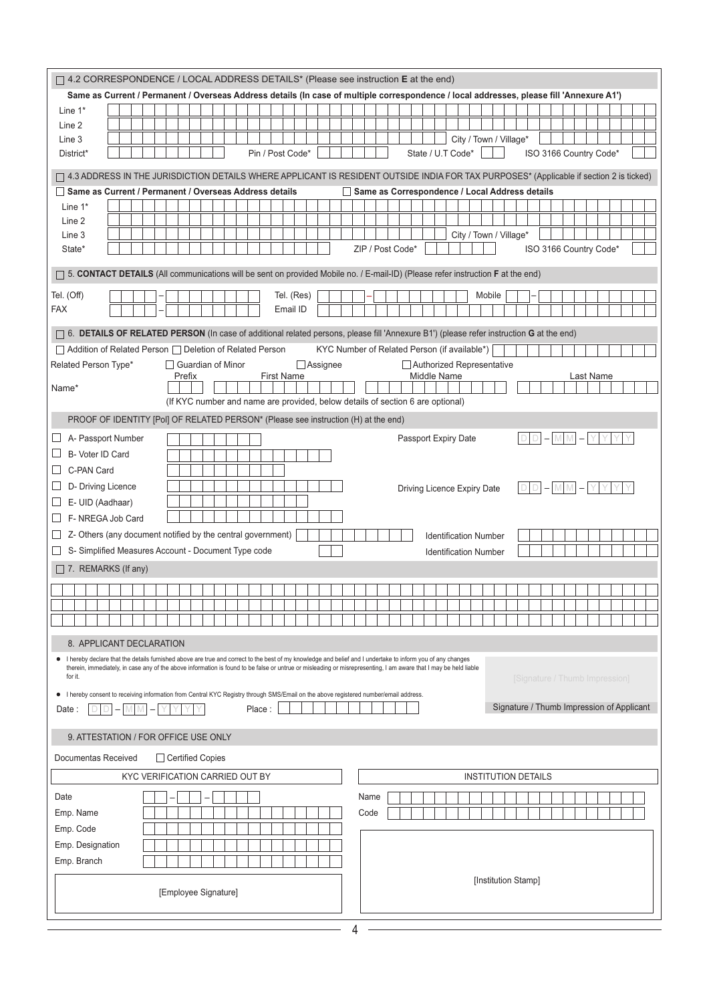| $\Box$ 4.2 CORRESPONDENCE / LOCAL ADDRESS DETAILS* (Please see instruction <b>E</b> at the end)                                                                             |                                                |  |  |  |
|-----------------------------------------------------------------------------------------------------------------------------------------------------------------------------|------------------------------------------------|--|--|--|
| Same as Current / Permanent / Overseas Address details (In case of multiple correspondence / local addresses, please fill 'Annexure A1')                                    |                                                |  |  |  |
| Line $1^*$                                                                                                                                                                  |                                                |  |  |  |
| Line 2                                                                                                                                                                      |                                                |  |  |  |
| Line 3                                                                                                                                                                      | City / Town / Village*                         |  |  |  |
| Pin / Post Code*<br>District*                                                                                                                                               | State / U.T Code*<br>ISO 3166 Country Code*    |  |  |  |
| □ 4.3 ADDRESS IN THE JURISDICTION DETAILS WHERE APPLICANT IS RESIDENT OUTSIDE INDIA FOR TAX PURPOSES* (Applicable if section 2 is ticked)                                   |                                                |  |  |  |
| Same as Current / Permanent / Overseas Address details                                                                                                                      | Same as Correspondence / Local Address details |  |  |  |
| Line $1^*$                                                                                                                                                                  |                                                |  |  |  |
| Line 2                                                                                                                                                                      |                                                |  |  |  |
| Line 3                                                                                                                                                                      | City / Town / Village*                         |  |  |  |
| State*                                                                                                                                                                      | ZIP / Post Code*<br>ISO 3166 Country Code*     |  |  |  |
| [5. CONTACT DETAILS (All communications will be sent on provided Mobile no. / E-mail-ID) (Please refer instruction F at the end)                                            |                                                |  |  |  |
| Tel. (Off)<br>Tel. (Res)                                                                                                                                                    | Mobile                                         |  |  |  |
| <b>FAX</b><br>Email ID                                                                                                                                                      |                                                |  |  |  |
| ∩ 6. DETAILS OF RELATED PERSON (In case of additional related persons, please fill 'Annexure B1') (please refer instruction G at the end)                                   |                                                |  |  |  |
| □ Addition of Related Person □ Deletion of Related Person                                                                                                                   | KYC Number of Related Person (if available*)   |  |  |  |
| Related Person Type*<br>□ Guardian of Minor<br>$\Box$ Assignee                                                                                                              | Authorized Representative                      |  |  |  |
| <b>First Name</b><br>Prefix                                                                                                                                                 | Middle Name<br>Last Name                       |  |  |  |
| Name*                                                                                                                                                                       |                                                |  |  |  |
| (If KYC number and name are provided, below details of section 6 are optional)                                                                                              |                                                |  |  |  |
| PROOF OF IDENTITY [Pol] OF RELATED PERSON* (Please see instruction (H) at the end)                                                                                          |                                                |  |  |  |
| A- Passport Number<br>$\Box$                                                                                                                                                | $D[D] - M[M] - YYY$<br>Passport Expiry Date    |  |  |  |
| B- Voter ID Card                                                                                                                                                            |                                                |  |  |  |
| C-PAN Card                                                                                                                                                                  |                                                |  |  |  |
| D- Driving Licence                                                                                                                                                          | Driving Licence Expiry Date<br>D               |  |  |  |
| E- UID (Aadhaar)<br>ப                                                                                                                                                       |                                                |  |  |  |
| F- NREGA Job Card<br>$\sqcup$                                                                                                                                               |                                                |  |  |  |
| Z- Others (any document notified by the central government)                                                                                                                 | <b>Identification Number</b>                   |  |  |  |
| S- Simplified Measures Account - Document Type code                                                                                                                         | <b>Identification Number</b>                   |  |  |  |
| $\Box$ 7. REMARKS (If any)                                                                                                                                                  |                                                |  |  |  |
|                                                                                                                                                                             |                                                |  |  |  |
|                                                                                                                                                                             |                                                |  |  |  |
|                                                                                                                                                                             |                                                |  |  |  |
| 8. APPLICANT DECLARATION                                                                                                                                                    |                                                |  |  |  |
| I hereby declare that the details furnished above are true and correct to the best of my knowledge and belief and I undertake to inform you of any changes                  |                                                |  |  |  |
| therein, immediately, in case any of the above information is found to be false or untrue or misleading or misrepresenting, I am aware that I may be held liable<br>for it. | [Signature / Thumb Impression]                 |  |  |  |
| • I hereby consent to receiving information from Central KYC Registry through SMS/Email on the above registered number/email address.                                       |                                                |  |  |  |
| Place:<br>Date:                                                                                                                                                             | Signature / Thumb Impression of Applicant      |  |  |  |
|                                                                                                                                                                             |                                                |  |  |  |
| 9. ATTESTATION / FOR OFFICE USE ONLY                                                                                                                                        |                                                |  |  |  |
| Documentas Received<br>□ Certified Copies                                                                                                                                   |                                                |  |  |  |
| KYC VERIFICATION CARRIED OUT BY                                                                                                                                             | <b>INSTITUTION DETAILS</b>                     |  |  |  |
| Date                                                                                                                                                                        | Name                                           |  |  |  |
| Emp. Name                                                                                                                                                                   | Code                                           |  |  |  |
| Emp. Code                                                                                                                                                                   |                                                |  |  |  |
| Emp. Designation                                                                                                                                                            |                                                |  |  |  |
| Emp. Branch                                                                                                                                                                 |                                                |  |  |  |
|                                                                                                                                                                             | [Institution Stamp]                            |  |  |  |
| [Employee Signature]                                                                                                                                                        |                                                |  |  |  |
|                                                                                                                                                                             |                                                |  |  |  |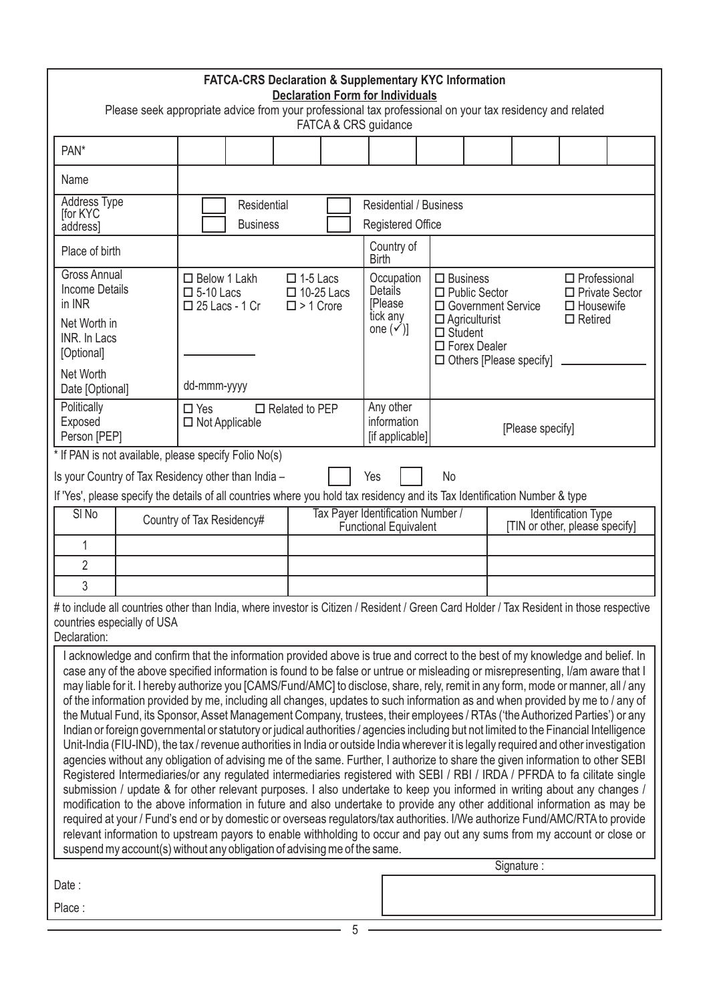| FATCA-CRS Declaration & Supplementary KYC Information<br><b>Declaration Form for Individuals</b><br>Please seek appropriate advice from your professional tax professional on your tax residency and related<br>FATCA & CRS guidance                                                                                                                                                                                                                                                                                                                                                                                                                                                                                                                                                                                                                                                                                                                                                                                                                                                                                                                                                                                                                                                                                                                                                                                                                                                                                                                                                                                                                                                                                                                                                                                                                                                                                                                                                                                        |  |                                                                     |  |                                                                                                                                                                                                                                                                               |                                                           |                                                                                    |                                   |                                                                                                                          |                  |                                                                                    |  |
|-----------------------------------------------------------------------------------------------------------------------------------------------------------------------------------------------------------------------------------------------------------------------------------------------------------------------------------------------------------------------------------------------------------------------------------------------------------------------------------------------------------------------------------------------------------------------------------------------------------------------------------------------------------------------------------------------------------------------------------------------------------------------------------------------------------------------------------------------------------------------------------------------------------------------------------------------------------------------------------------------------------------------------------------------------------------------------------------------------------------------------------------------------------------------------------------------------------------------------------------------------------------------------------------------------------------------------------------------------------------------------------------------------------------------------------------------------------------------------------------------------------------------------------------------------------------------------------------------------------------------------------------------------------------------------------------------------------------------------------------------------------------------------------------------------------------------------------------------------------------------------------------------------------------------------------------------------------------------------------------------------------------------------|--|---------------------------------------------------------------------|--|-------------------------------------------------------------------------------------------------------------------------------------------------------------------------------------------------------------------------------------------------------------------------------|-----------------------------------------------------------|------------------------------------------------------------------------------------|-----------------------------------|--------------------------------------------------------------------------------------------------------------------------|------------------|------------------------------------------------------------------------------------|--|
| PAN <sup>*</sup>                                                                                                                                                                                                                                                                                                                                                                                                                                                                                                                                                                                                                                                                                                                                                                                                                                                                                                                                                                                                                                                                                                                                                                                                                                                                                                                                                                                                                                                                                                                                                                                                                                                                                                                                                                                                                                                                                                                                                                                                            |  |                                                                     |  |                                                                                                                                                                                                                                                                               |                                                           |                                                                                    |                                   |                                                                                                                          |                  |                                                                                    |  |
| Name                                                                                                                                                                                                                                                                                                                                                                                                                                                                                                                                                                                                                                                                                                                                                                                                                                                                                                                                                                                                                                                                                                                                                                                                                                                                                                                                                                                                                                                                                                                                                                                                                                                                                                                                                                                                                                                                                                                                                                                                                        |  |                                                                     |  |                                                                                                                                                                                                                                                                               |                                                           |                                                                                    |                                   |                                                                                                                          |                  |                                                                                    |  |
| Address Type<br>for KYC<br>address]                                                                                                                                                                                                                                                                                                                                                                                                                                                                                                                                                                                                                                                                                                                                                                                                                                                                                                                                                                                                                                                                                                                                                                                                                                                                                                                                                                                                                                                                                                                                                                                                                                                                                                                                                                                                                                                                                                                                                                                         |  | Residential<br><b>Business</b>                                      |  |                                                                                                                                                                                                                                                                               | <b>Residential / Business</b><br><b>Registered Office</b> |                                                                                    |                                   |                                                                                                                          |                  |                                                                                    |  |
| Place of birth                                                                                                                                                                                                                                                                                                                                                                                                                                                                                                                                                                                                                                                                                                                                                                                                                                                                                                                                                                                                                                                                                                                                                                                                                                                                                                                                                                                                                                                                                                                                                                                                                                                                                                                                                                                                                                                                                                                                                                                                              |  |                                                                     |  |                                                                                                                                                                                                                                                                               |                                                           | Country of<br><b>Birth</b>                                                         |                                   |                                                                                                                          |                  |                                                                                    |  |
| <b>Gross Annual</b><br><b>Income Details</b><br>in INR<br>Net Worth in<br>INR. In Lacs<br>[Optional]                                                                                                                                                                                                                                                                                                                                                                                                                                                                                                                                                                                                                                                                                                                                                                                                                                                                                                                                                                                                                                                                                                                                                                                                                                                                                                                                                                                                                                                                                                                                                                                                                                                                                                                                                                                                                                                                                                                        |  | $\Box$ Below 1 Lakh<br>$\square$ 5-10 Lacs<br>$\Box$ 25 Lacs - 1 Cr |  | $\Box$ 1-5 Lacs<br>$\Box$ 10-25 Lacs<br>$\square$ > 1 Crore                                                                                                                                                                                                                   |                                                           | Occupation<br><b>Details</b><br><b>IPlease</b><br>tick any<br>one $(\checkmark)$ ] | $\Box$ Business<br>$\Box$ Student | $\Box$ Public Sector<br>□ Government Service<br>$\Box$ Agriculturist<br>□ Forex Dealer<br>$\Box$ Others [Please specify] |                  | $\Box$ Professional<br>$\Box$ Private Sector<br>$\Box$ Housewife<br>$\Box$ Retired |  |
| Net Worth<br>Date [Optional]                                                                                                                                                                                                                                                                                                                                                                                                                                                                                                                                                                                                                                                                                                                                                                                                                                                                                                                                                                                                                                                                                                                                                                                                                                                                                                                                                                                                                                                                                                                                                                                                                                                                                                                                                                                                                                                                                                                                                                                                |  | dd-mmm-yyyy                                                         |  |                                                                                                                                                                                                                                                                               |                                                           |                                                                                    |                                   |                                                                                                                          |                  |                                                                                    |  |
| Politically<br>Exposed<br>Person [PEP]                                                                                                                                                                                                                                                                                                                                                                                                                                                                                                                                                                                                                                                                                                                                                                                                                                                                                                                                                                                                                                                                                                                                                                                                                                                                                                                                                                                                                                                                                                                                                                                                                                                                                                                                                                                                                                                                                                                                                                                      |  | $\Box$ Yes<br>$\Box$ Not Applicable                                 |  | $\Box$ Related to PEP                                                                                                                                                                                                                                                         |                                                           | Any other<br>information<br>[if applicable]                                        |                                   |                                                                                                                          | [Please specify] |                                                                                    |  |
| Is your Country of Tax Residency other than India -<br>SI <sub>No</sub><br>1<br>$\overline{2}$                                                                                                                                                                                                                                                                                                                                                                                                                                                                                                                                                                                                                                                                                                                                                                                                                                                                                                                                                                                                                                                                                                                                                                                                                                                                                                                                                                                                                                                                                                                                                                                                                                                                                                                                                                                                                                                                                                                              |  | Country of Tax Residency#                                           |  | Yes<br><b>No</b><br>If 'Yes', please specify the details of all countries where you hold tax residency and its Tax Identification Number & type<br>Tax Payer Identification Number /<br><b>Identification Type</b><br>Functional Equivalent<br>[TIN or other, please specify] |                                                           |                                                                                    |                                   |                                                                                                                          |                  |                                                                                    |  |
| 3<br># to include all countries other than India, where investor is Citizen / Resident / Green Card Holder / Tax Resident in those respective<br>countries especially of USA<br>Declaration:<br>I acknowledge and confirm that the information provided above is true and correct to the best of my knowledge and belief. In<br>case any of the above specified information is found to be false or untrue or misleading or misrepresenting, I/am aware that I<br>may liable for it. I hereby authorize you [CAMS/Fund/AMC] to disclose, share, rely, remit in any form, mode or manner, all / any<br>of the information provided by me, including all changes, updates to such information as and when provided by me to / any of<br>the Mutual Fund, its Sponsor, Asset Management Company, trustees, their employees / RTAs ('the Authorized Parties') or any<br>Indian or foreign governmental or statutory or judical authorities / agencies including but not limited to the Financial Intelligence<br>Unit-India (FIU-IND), the tax / revenue authorities in India or outside India wherever it is legally required and other investigation<br>agencies without any obligation of advising me of the same. Further, I authorize to share the given information to other SEBI<br>Registered Intermediaries/or any regulated intermediaries registered with SEBI / RBI / IRDA / PFRDA to fa cilitate single<br>submission / update & for other relevant purposes. I also undertake to keep you informed in writing about any changes /<br>modification to the above information in future and also undertake to provide any other additional information as may be<br>required at your / Fund's end or by domestic or overseas regulators/tax authorities. I/We authorize Fund/AMC/RTA to provide<br>relevant information to upstream payors to enable withholding to occur and pay out any sums from my account or close or<br>suspend my account(s) without any obligation of advising me of the same.<br>Signature: |  |                                                                     |  |                                                                                                                                                                                                                                                                               |                                                           |                                                                                    |                                   |                                                                                                                          |                  |                                                                                    |  |
| Date:                                                                                                                                                                                                                                                                                                                                                                                                                                                                                                                                                                                                                                                                                                                                                                                                                                                                                                                                                                                                                                                                                                                                                                                                                                                                                                                                                                                                                                                                                                                                                                                                                                                                                                                                                                                                                                                                                                                                                                                                                       |  |                                                                     |  |                                                                                                                                                                                                                                                                               |                                                           |                                                                                    |                                   |                                                                                                                          |                  |                                                                                    |  |
| Place:                                                                                                                                                                                                                                                                                                                                                                                                                                                                                                                                                                                                                                                                                                                                                                                                                                                                                                                                                                                                                                                                                                                                                                                                                                                                                                                                                                                                                                                                                                                                                                                                                                                                                                                                                                                                                                                                                                                                                                                                                      |  |                                                                     |  |                                                                                                                                                                                                                                                                               |                                                           |                                                                                    |                                   |                                                                                                                          |                  |                                                                                    |  |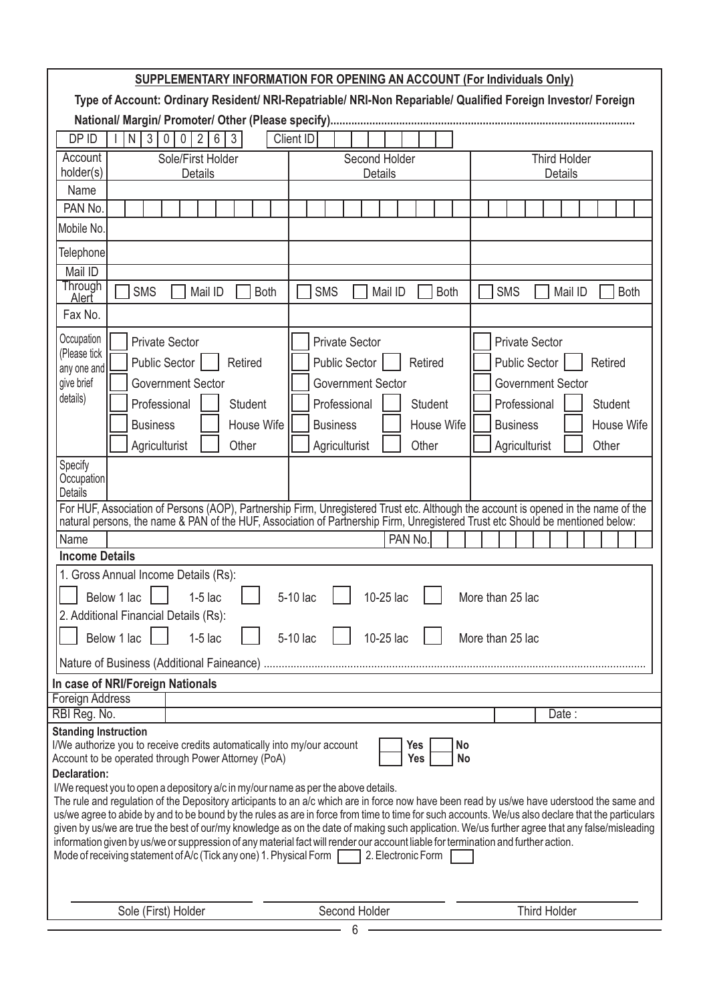|                                                                                                                                                                                                                                                                                                                                                                                                                                                                                                                                                                                                                                                                                                                                                                                                                                                                                                                                                            | SUPPLEMENTARY INFORMATION FOR OPENING AN ACCOUNT (For Individuals Only)                                                                                                    |                                                                                                                                                                                   |  |  |  |  |
|------------------------------------------------------------------------------------------------------------------------------------------------------------------------------------------------------------------------------------------------------------------------------------------------------------------------------------------------------------------------------------------------------------------------------------------------------------------------------------------------------------------------------------------------------------------------------------------------------------------------------------------------------------------------------------------------------------------------------------------------------------------------------------------------------------------------------------------------------------------------------------------------------------------------------------------------------------|----------------------------------------------------------------------------------------------------------------------------------------------------------------------------|-----------------------------------------------------------------------------------------------------------------------------------------------------------------------------------|--|--|--|--|
|                                                                                                                                                                                                                                                                                                                                                                                                                                                                                                                                                                                                                                                                                                                                                                                                                                                                                                                                                            | Type of Account: Ordinary Resident/ NRI-Repatriable/ NRI-Non Repariable/ Qualified Foreign Investor/ Foreign                                                               |                                                                                                                                                                                   |  |  |  |  |
|                                                                                                                                                                                                                                                                                                                                                                                                                                                                                                                                                                                                                                                                                                                                                                                                                                                                                                                                                            |                                                                                                                                                                            |                                                                                                                                                                                   |  |  |  |  |
| DP ID                                                                                                                                                                                                                                                                                                                                                                                                                                                                                                                                                                                                                                                                                                                                                                                                                                                                                                                                                      | $\mathfrak{Z}$<br>$\overline{2}$<br>6<br>Client ID<br>$\mathbf 0$<br>3<br>N<br>0                                                                                           |                                                                                                                                                                                   |  |  |  |  |
| Account<br>Sole/First Holder<br>holder(s)<br><b>Details</b>                                                                                                                                                                                                                                                                                                                                                                                                                                                                                                                                                                                                                                                                                                                                                                                                                                                                                                | Second Holder<br><b>Details</b>                                                                                                                                            | <b>Third Holder</b><br>Details                                                                                                                                                    |  |  |  |  |
| Name                                                                                                                                                                                                                                                                                                                                                                                                                                                                                                                                                                                                                                                                                                                                                                                                                                                                                                                                                       |                                                                                                                                                                            |                                                                                                                                                                                   |  |  |  |  |
| PAN No.                                                                                                                                                                                                                                                                                                                                                                                                                                                                                                                                                                                                                                                                                                                                                                                                                                                                                                                                                    |                                                                                                                                                                            |                                                                                                                                                                                   |  |  |  |  |
| Mobile No.                                                                                                                                                                                                                                                                                                                                                                                                                                                                                                                                                                                                                                                                                                                                                                                                                                                                                                                                                 |                                                                                                                                                                            |                                                                                                                                                                                   |  |  |  |  |
| Telephone                                                                                                                                                                                                                                                                                                                                                                                                                                                                                                                                                                                                                                                                                                                                                                                                                                                                                                                                                  |                                                                                                                                                                            |                                                                                                                                                                                   |  |  |  |  |
| Mail ID                                                                                                                                                                                                                                                                                                                                                                                                                                                                                                                                                                                                                                                                                                                                                                                                                                                                                                                                                    |                                                                                                                                                                            |                                                                                                                                                                                   |  |  |  |  |
| Through<br><b>SMS</b><br><b>Both</b><br>Mail ID<br>Alert                                                                                                                                                                                                                                                                                                                                                                                                                                                                                                                                                                                                                                                                                                                                                                                                                                                                                                   | <b>SMS</b><br>Mail ID<br><b>Both</b>                                                                                                                                       | <b>SMS</b><br><b>Both</b><br>Mail ID                                                                                                                                              |  |  |  |  |
| Fax No.                                                                                                                                                                                                                                                                                                                                                                                                                                                                                                                                                                                                                                                                                                                                                                                                                                                                                                                                                    |                                                                                                                                                                            |                                                                                                                                                                                   |  |  |  |  |
| Occupation<br><b>Private Sector</b><br>(Please tick<br><b>Public Sector</b><br>Retired<br>any one and<br>give brief<br>Government Sector<br>details)<br>Professional<br><b>Student</b><br>House Wife<br><b>Business</b><br>Agriculturist<br>Other<br>Specify<br>Occupation<br><b>Details</b><br>For HUF, Association of Persons (AOP), Partnership Firm, Unregistered Trust etc. Although the account is opened in the name of the                                                                                                                                                                                                                                                                                                                                                                                                                                                                                                                         | <b>Private Sector</b><br><b>Public Sector</b><br>Retired<br><b>Government Sector</b><br>Professional<br>Student<br><b>Business</b><br>House Wife<br>Agriculturist<br>Other | <b>Private Sector</b><br><b>Public Sector</b><br>Retired<br><b>Government Sector</b><br>Professional<br><b>Student</b><br><b>Business</b><br>House Wife<br>Agriculturist<br>Other |  |  |  |  |
| natural persons, the name & PAN of the HUF, Association of Partnership Firm, Unregistered Trust etc Should be mentioned below:<br>Name                                                                                                                                                                                                                                                                                                                                                                                                                                                                                                                                                                                                                                                                                                                                                                                                                     | PAN No.                                                                                                                                                                    |                                                                                                                                                                                   |  |  |  |  |
| <b>Income Details</b>                                                                                                                                                                                                                                                                                                                                                                                                                                                                                                                                                                                                                                                                                                                                                                                                                                                                                                                                      |                                                                                                                                                                            |                                                                                                                                                                                   |  |  |  |  |
| 1. Gross Annual Income Details (Rs):                                                                                                                                                                                                                                                                                                                                                                                                                                                                                                                                                                                                                                                                                                                                                                                                                                                                                                                       |                                                                                                                                                                            |                                                                                                                                                                                   |  |  |  |  |
| Below 1 lac<br>$1-5$ lac                                                                                                                                                                                                                                                                                                                                                                                                                                                                                                                                                                                                                                                                                                                                                                                                                                                                                                                                   | 10-25 lac<br>5-10 lac                                                                                                                                                      | More than 25 lac                                                                                                                                                                  |  |  |  |  |
| 2. Additional Financial Details (Rs):                                                                                                                                                                                                                                                                                                                                                                                                                                                                                                                                                                                                                                                                                                                                                                                                                                                                                                                      |                                                                                                                                                                            |                                                                                                                                                                                   |  |  |  |  |
| Below 1 lac<br>$1-5$ lac                                                                                                                                                                                                                                                                                                                                                                                                                                                                                                                                                                                                                                                                                                                                                                                                                                                                                                                                   | 5-10 lac<br>10-25 lac                                                                                                                                                      | More than 25 lac                                                                                                                                                                  |  |  |  |  |
|                                                                                                                                                                                                                                                                                                                                                                                                                                                                                                                                                                                                                                                                                                                                                                                                                                                                                                                                                            |                                                                                                                                                                            |                                                                                                                                                                                   |  |  |  |  |
| In case of NRI/Foreign Nationals                                                                                                                                                                                                                                                                                                                                                                                                                                                                                                                                                                                                                                                                                                                                                                                                                                                                                                                           |                                                                                                                                                                            |                                                                                                                                                                                   |  |  |  |  |
| Foreign Address                                                                                                                                                                                                                                                                                                                                                                                                                                                                                                                                                                                                                                                                                                                                                                                                                                                                                                                                            |                                                                                                                                                                            |                                                                                                                                                                                   |  |  |  |  |
| RBI Reg. No.<br><b>Standing Instruction</b>                                                                                                                                                                                                                                                                                                                                                                                                                                                                                                                                                                                                                                                                                                                                                                                                                                                                                                                |                                                                                                                                                                            | Date:                                                                                                                                                                             |  |  |  |  |
| I/We authorize you to receive credits automatically into my/our account<br>No<br>Yes<br>Account to be operated through Power Attorney (PoA)<br>Yes<br>No<br><b>Declaration:</b><br>I/We request you to open a depository a/c in my/our name as per the above details.<br>The rule and regulation of the Depository articipants to an a/c which are in force now have been read by us/we have uderstood the same and<br>us/we agree to abide by and to be bound by the rules as are in force from time to time for such accounts. We/us also declare that the particulars<br>given by us/we are true the best of our/my knowledge as on the date of making such application. We/us further agree that any false/misleading<br>information given by us/we or suppression of any material fact will render our account liable for termination and further action.<br>Mode of receiving statement of A/c (Tick any one) 1. Physical Form<br>2. Electronic Form |                                                                                                                                                                            |                                                                                                                                                                                   |  |  |  |  |
| Sole (First) Holder                                                                                                                                                                                                                                                                                                                                                                                                                                                                                                                                                                                                                                                                                                                                                                                                                                                                                                                                        | Second Holder                                                                                                                                                              | <b>Third Holder</b>                                                                                                                                                               |  |  |  |  |
|                                                                                                                                                                                                                                                                                                                                                                                                                                                                                                                                                                                                                                                                                                                                                                                                                                                                                                                                                            | 6                                                                                                                                                                          |                                                                                                                                                                                   |  |  |  |  |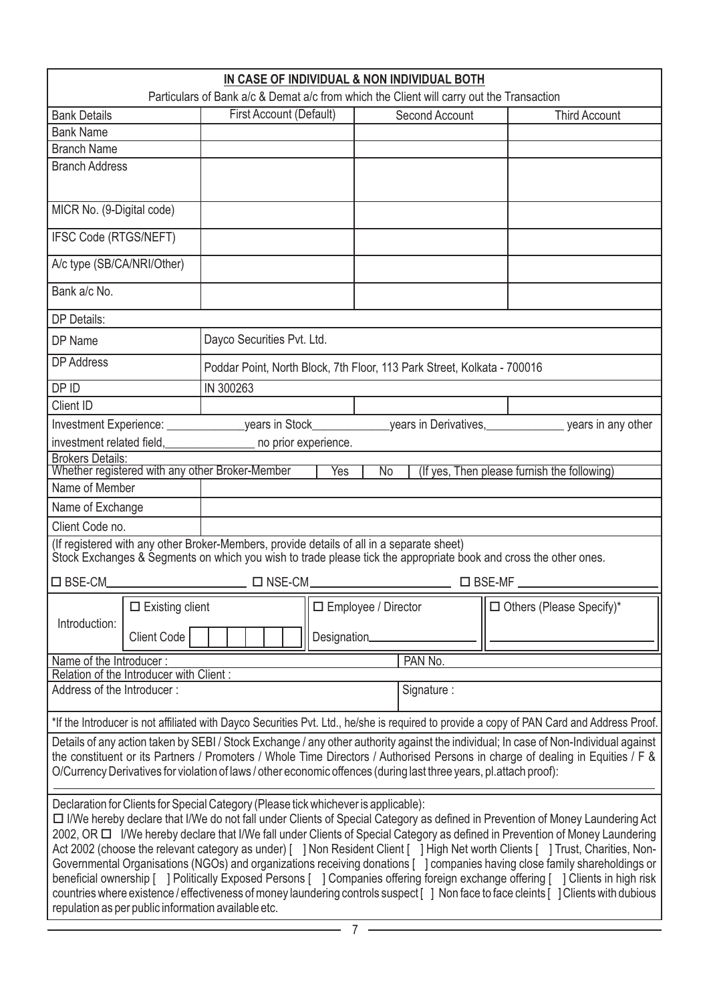| IN CASE OF INDIVIDUAL & NON INDIVIDUAL BOTH<br>Particulars of Bank a/c & Demat a/c from which the Client will carry out the Transaction                                                                                                                                                                                                                                                                                                                                                                                                                                                                                                                                                                                                                                                                                                                                                                                                                |                                         |                                                                                           |             |                       |                |                                                                                                                  |
|--------------------------------------------------------------------------------------------------------------------------------------------------------------------------------------------------------------------------------------------------------------------------------------------------------------------------------------------------------------------------------------------------------------------------------------------------------------------------------------------------------------------------------------------------------------------------------------------------------------------------------------------------------------------------------------------------------------------------------------------------------------------------------------------------------------------------------------------------------------------------------------------------------------------------------------------------------|-----------------------------------------|-------------------------------------------------------------------------------------------|-------------|-----------------------|----------------|------------------------------------------------------------------------------------------------------------------|
| <b>Bank Details</b>                                                                                                                                                                                                                                                                                                                                                                                                                                                                                                                                                                                                                                                                                                                                                                                                                                                                                                                                    |                                         | First Account (Default)                                                                   |             |                       | Second Account | <b>Third Account</b>                                                                                             |
| <b>Bank Name</b>                                                                                                                                                                                                                                                                                                                                                                                                                                                                                                                                                                                                                                                                                                                                                                                                                                                                                                                                       |                                         |                                                                                           |             |                       |                |                                                                                                                  |
| <b>Branch Name</b>                                                                                                                                                                                                                                                                                                                                                                                                                                                                                                                                                                                                                                                                                                                                                                                                                                                                                                                                     |                                         |                                                                                           |             |                       |                |                                                                                                                  |
| <b>Branch Address</b>                                                                                                                                                                                                                                                                                                                                                                                                                                                                                                                                                                                                                                                                                                                                                                                                                                                                                                                                  |                                         |                                                                                           |             |                       |                |                                                                                                                  |
| MICR No. (9-Digital code)                                                                                                                                                                                                                                                                                                                                                                                                                                                                                                                                                                                                                                                                                                                                                                                                                                                                                                                              |                                         |                                                                                           |             |                       |                |                                                                                                                  |
| IFSC Code (RTGS/NEFT)                                                                                                                                                                                                                                                                                                                                                                                                                                                                                                                                                                                                                                                                                                                                                                                                                                                                                                                                  |                                         |                                                                                           |             |                       |                |                                                                                                                  |
| A/c type (SB/CA/NRI/Other)                                                                                                                                                                                                                                                                                                                                                                                                                                                                                                                                                                                                                                                                                                                                                                                                                                                                                                                             |                                         |                                                                                           |             |                       |                |                                                                                                                  |
| Bank a/c No.                                                                                                                                                                                                                                                                                                                                                                                                                                                                                                                                                                                                                                                                                                                                                                                                                                                                                                                                           |                                         |                                                                                           |             |                       |                |                                                                                                                  |
| <b>DP Details:</b>                                                                                                                                                                                                                                                                                                                                                                                                                                                                                                                                                                                                                                                                                                                                                                                                                                                                                                                                     |                                         |                                                                                           |             |                       |                |                                                                                                                  |
| DP Name                                                                                                                                                                                                                                                                                                                                                                                                                                                                                                                                                                                                                                                                                                                                                                                                                                                                                                                                                |                                         | Dayco Securities Pvt. Ltd.                                                                |             |                       |                |                                                                                                                  |
| <b>DP Address</b>                                                                                                                                                                                                                                                                                                                                                                                                                                                                                                                                                                                                                                                                                                                                                                                                                                                                                                                                      |                                         | Poddar Point, North Block, 7th Floor, 113 Park Street, Kolkata - 700016                   |             |                       |                |                                                                                                                  |
| DP ID                                                                                                                                                                                                                                                                                                                                                                                                                                                                                                                                                                                                                                                                                                                                                                                                                                                                                                                                                  |                                         | IN 300263                                                                                 |             |                       |                |                                                                                                                  |
| Client ID                                                                                                                                                                                                                                                                                                                                                                                                                                                                                                                                                                                                                                                                                                                                                                                                                                                                                                                                              |                                         |                                                                                           |             |                       |                |                                                                                                                  |
|                                                                                                                                                                                                                                                                                                                                                                                                                                                                                                                                                                                                                                                                                                                                                                                                                                                                                                                                                        |                                         |                                                                                           |             |                       |                | Investment Experience: vears in Stock horears in Derivatives, lowestment Experience: Lowest in any other         |
|                                                                                                                                                                                                                                                                                                                                                                                                                                                                                                                                                                                                                                                                                                                                                                                                                                                                                                                                                        |                                         | investment related field, _________________ no prior experience.                          |             |                       |                |                                                                                                                  |
| <b>Brokers Details:</b>                                                                                                                                                                                                                                                                                                                                                                                                                                                                                                                                                                                                                                                                                                                                                                                                                                                                                                                                |                                         | Whether registered with any other Broker-Member                                           |             |                       |                |                                                                                                                  |
| Name of Member                                                                                                                                                                                                                                                                                                                                                                                                                                                                                                                                                                                                                                                                                                                                                                                                                                                                                                                                         |                                         |                                                                                           | <b>Yes</b>  | <b>No</b>             |                | (If yes, Then please furnish the following)                                                                      |
| Name of Exchange                                                                                                                                                                                                                                                                                                                                                                                                                                                                                                                                                                                                                                                                                                                                                                                                                                                                                                                                       |                                         |                                                                                           |             |                       |                |                                                                                                                  |
| Client Code no.                                                                                                                                                                                                                                                                                                                                                                                                                                                                                                                                                                                                                                                                                                                                                                                                                                                                                                                                        |                                         |                                                                                           |             |                       |                |                                                                                                                  |
|                                                                                                                                                                                                                                                                                                                                                                                                                                                                                                                                                                                                                                                                                                                                                                                                                                                                                                                                                        |                                         | (If registered with any other Broker-Members, provide details of all in a separate sheet) |             |                       |                | Stock Exchanges & Segments on which you wish to trade please tick the appropriate book and cross the other ones. |
| $\square$ BSE-CM                                                                                                                                                                                                                                                                                                                                                                                                                                                                                                                                                                                                                                                                                                                                                                                                                                                                                                                                       |                                         | $\square$ NSE-CM $\square$                                                                |             |                       |                | $\square$ BSE-MF $\square$                                                                                       |
|                                                                                                                                                                                                                                                                                                                                                                                                                                                                                                                                                                                                                                                                                                                                                                                                                                                                                                                                                        | $\square$ Existing client               |                                                                                           |             | □ Employee / Director |                | $\Box$ Others (Please Specify)*                                                                                  |
| Introduction:                                                                                                                                                                                                                                                                                                                                                                                                                                                                                                                                                                                                                                                                                                                                                                                                                                                                                                                                          |                                         |                                                                                           |             |                       |                |                                                                                                                  |
|                                                                                                                                                                                                                                                                                                                                                                                                                                                                                                                                                                                                                                                                                                                                                                                                                                                                                                                                                        | Client Code                             |                                                                                           | Designation |                       |                |                                                                                                                  |
| Name of the Introducer:                                                                                                                                                                                                                                                                                                                                                                                                                                                                                                                                                                                                                                                                                                                                                                                                                                                                                                                                |                                         |                                                                                           |             |                       | PAN No.        |                                                                                                                  |
| Address of the Introducer:                                                                                                                                                                                                                                                                                                                                                                                                                                                                                                                                                                                                                                                                                                                                                                                                                                                                                                                             | Relation of the Introducer with Client: |                                                                                           |             |                       | Signature:     |                                                                                                                  |
| *If the Introducer is not affiliated with Dayco Securities Pvt. Ltd., he/she is required to provide a copy of PAN Card and Address Proof.                                                                                                                                                                                                                                                                                                                                                                                                                                                                                                                                                                                                                                                                                                                                                                                                              |                                         |                                                                                           |             |                       |                |                                                                                                                  |
| Details of any action taken by SEBI / Stock Exchange / any other authority against the individual; In case of Non-Individual against                                                                                                                                                                                                                                                                                                                                                                                                                                                                                                                                                                                                                                                                                                                                                                                                                   |                                         |                                                                                           |             |                       |                |                                                                                                                  |
| the constituent or its Partners / Promoters / Whole Time Directors / Authorised Persons in charge of dealing in Equities / F &<br>O/Currency Derivatives for violation of laws / other economic offences (during last three years, pl.attach proof):                                                                                                                                                                                                                                                                                                                                                                                                                                                                                                                                                                                                                                                                                                   |                                         |                                                                                           |             |                       |                |                                                                                                                  |
| Declaration for Clients for Special Category (Please tick whichever is applicable):<br>□ I/We hereby declare that I/We do not fall under Clients of Special Category as defined in Prevention of Money Laundering Act<br>2002, OR O I/We hereby declare that I/We fall under Clients of Special Category as defined in Prevention of Money Laundering<br>Act 2002 (choose the relevant category as under) [ ] Non Resident Client [ ] High Net worth Clients [ ] Trust, Charities, Non-<br>Governmental Organisations (NGOs) and organizations receiving donations [ ] companies having close family shareholdings or<br>beneficial ownership [ ] Politically Exposed Persons [ ] Companies offering foreign exchange offering [ ] Clients in high risk<br>countries where existence / effectiveness of money laundering controls suspect [ ] Non face to face cleints [ ] Clients with dubious<br>repulation as per public information available etc. |                                         |                                                                                           |             |                       |                |                                                                                                                  |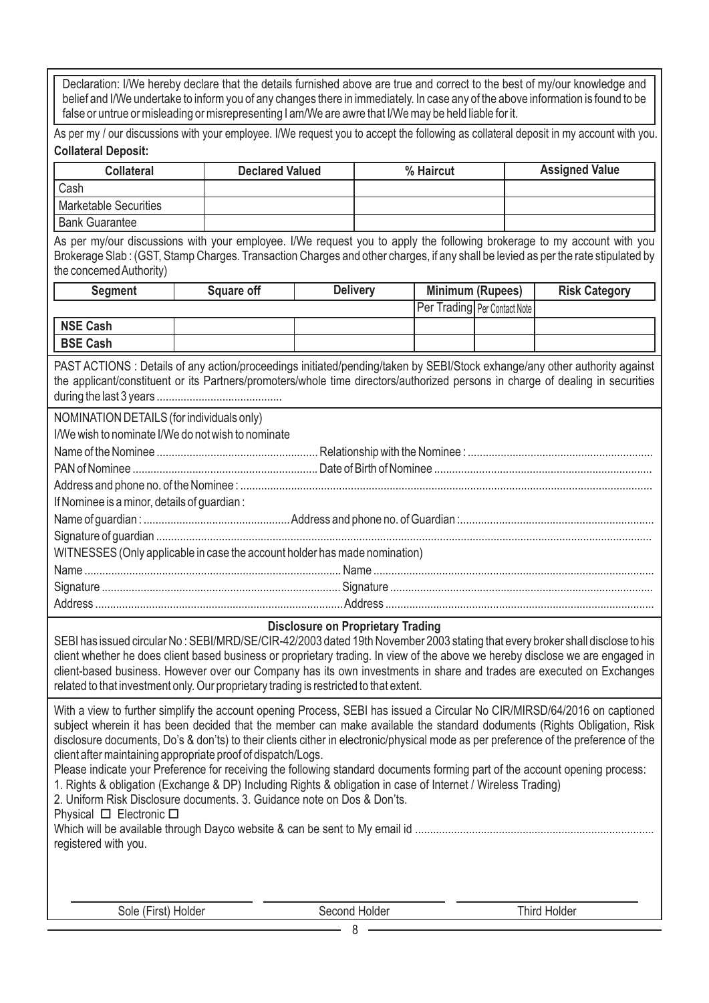Declaration: I/We hereby declare that the details furnished above are true and correct to the best of my/our knowledge and belief and I/We undertake to inform you of any changes there in immediately. In case any of the above information is found to be false or untrue or misleading or misrepresenting I am/We are awre that I/We may be held liable for it.

As per my / our discussions with your employee. I/We request you to accept the following as collateral deposit in my account with you. **Collateral Deposit:**

| <b>Collateral</b>     | <b>Declared Valued</b> | % Haircut | <b>Assigned Value</b> |
|-----------------------|------------------------|-----------|-----------------------|
| Cash                  |                        |           |                       |
| Marketable Securities |                        |           |                       |
| <b>Bank Guarantee</b> |                        |           |                       |

As per my/our discussions with your employee. I/We request you to apply the following brokerage to my account with you Brokerage Slab : (GST, Stamp Charges. Transaction Charges and other charges, if any shall be levied as per the rate stipulated by the concemed Authority)

| <b>Seament</b>  | <b>Square off</b> | <b>Delivery</b> | <b>Minimum (Rupees)</b>             |  | <b>Risk Category</b> |
|-----------------|-------------------|-----------------|-------------------------------------|--|----------------------|
|                 |                   |                 | <b>Per Trading Per Contact Note</b> |  |                      |
| NSE Cash        |                   |                 |                                     |  |                      |
| <b>BSE Cash</b> |                   |                 |                                     |  |                      |

PAST ACTIONS : Details of any action/proceedings initiated/pending/taken by SEBI/Stock exhange/any other authority against the applicant/constituent or its Partners/promoters/whole time directors/authorized persons in charge of dealing in securities during the last 3 years ..........................................

NOMINATION DETAILS (for individuals only)

| I/We wish to nominate I/We do not wish to nominate                         |  |
|----------------------------------------------------------------------------|--|
|                                                                            |  |
|                                                                            |  |
|                                                                            |  |
| If Nominee is a minor, details of guardian:                                |  |
|                                                                            |  |
|                                                                            |  |
| WITNESSES (Only applicable in case the account holder has made nomination) |  |
|                                                                            |  |
|                                                                            |  |
|                                                                            |  |

#### **Disclosure on Proprietary Trading**

SEBI has issued circular No : SEBI/MRD/SE/CIR-42/2003 dated 19th November 2003 stating that every broker shall disclose to his client whether he does client based business or proprietary trading. In view of the above we hereby disclose we are engaged in client-based business. However over our Company has its own investments in share and trades are executed on Exchanges related to that investment only. Our proprietary trading is restricted to that extent.

With a view to further simplify the account opening Process, SEBI has issued a Circular No CIR/MIRSD/64/2016 on captioned subject wherein it has been decided that the member can make available the standard doduments (Rights Obligation, Risk disclosure documents, Do's & don'ts) to their clients cither in electronic/physical mode as per preference of the preference of the client after maintaining appropriate proof of dispatch/Logs.

Please indicate your Preference for receiving the following standard documents forming part of the account opening process: 1. Rights & obligation (Exchange & DP) Including Rights & obligation in case of Internet / Wireless Trading)

2. Uniform Risk Disclosure documents. 3. Guidance note on Dos & Don'ts.

Physical  $\Box$  Electronic  $\Box$ 

| registered with you. |  |
|----------------------|--|

Sole (First) Holder Second Holder Second Holder Third Holder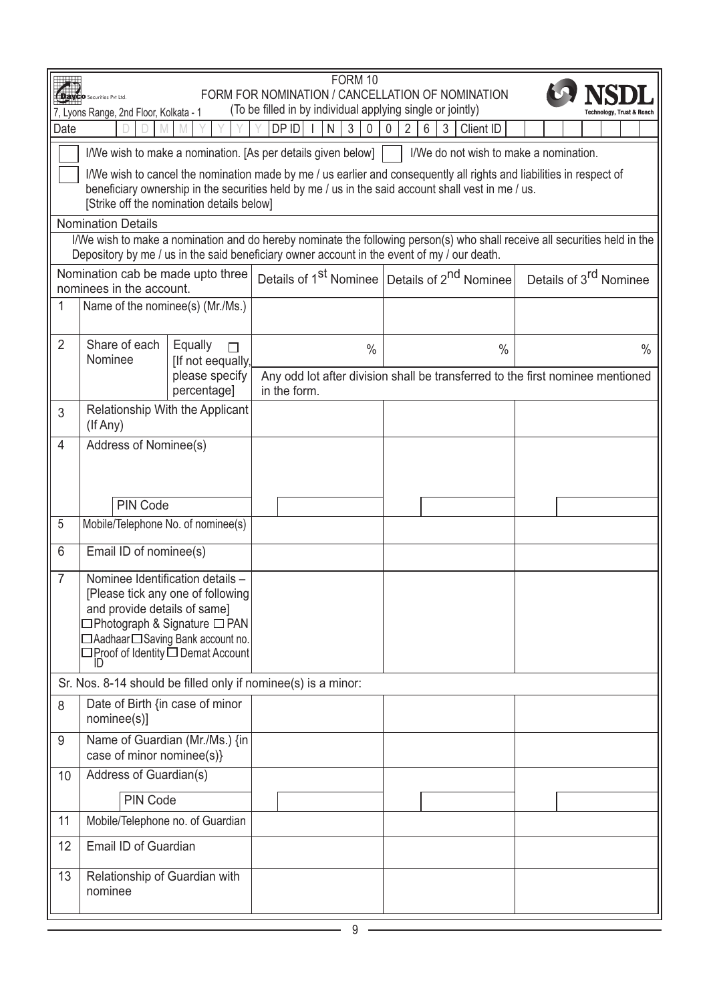|                                                                                                                                                                                                                                        | FORM 10<br>Daviso Securities Pvt Ltd.<br>FORM FOR NOMINATION / CANCELLATION OF NOMINATION<br>(To be filled in by individual applying single or jointly)<br>7, Lyons Range, 2nd Floor, Kolkata - 1<br><b>Technology, Trust &amp; Reach</b> |                                           |                                                                                             |                                                                                                                                                                                                                            |                                                                                                                            |  |  |
|----------------------------------------------------------------------------------------------------------------------------------------------------------------------------------------------------------------------------------------|-------------------------------------------------------------------------------------------------------------------------------------------------------------------------------------------------------------------------------------------|-------------------------------------------|---------------------------------------------------------------------------------------------|----------------------------------------------------------------------------------------------------------------------------------------------------------------------------------------------------------------------------|----------------------------------------------------------------------------------------------------------------------------|--|--|
| Date                                                                                                                                                                                                                                   | $DP$ ID<br>$\mathfrak{S}$<br>N<br>3<br>0<br>$\overline{2}$<br>6<br>Client ID<br>0                                                                                                                                                         |                                           |                                                                                             |                                                                                                                                                                                                                            |                                                                                                                            |  |  |
|                                                                                                                                                                                                                                        |                                                                                                                                                                                                                                           |                                           | I/We wish to make a nomination. [As per details given below]                                | I/We do not wish to make a nomination.                                                                                                                                                                                     |                                                                                                                            |  |  |
|                                                                                                                                                                                                                                        |                                                                                                                                                                                                                                           | [Strike off the nomination details below] |                                                                                             | I/We wish to cancel the nomination made by me / us earlier and consequently all rights and liabilities in respect of<br>beneficiary ownership in the securities held by me / us in the said account shall vest in me / us. |                                                                                                                            |  |  |
|                                                                                                                                                                                                                                        | <b>Nomination Details</b>                                                                                                                                                                                                                 |                                           |                                                                                             |                                                                                                                                                                                                                            | I/We wish to make a nomination and do hereby nominate the following person(s) who shall receive all securities held in the |  |  |
|                                                                                                                                                                                                                                        |                                                                                                                                                                                                                                           |                                           | Depository by me / us in the said beneficiary owner account in the event of my / our death. |                                                                                                                                                                                                                            |                                                                                                                            |  |  |
|                                                                                                                                                                                                                                        | Nomination cab be made upto three<br>nominees in the account.                                                                                                                                                                             |                                           |                                                                                             | Details of 1 <sup>st</sup> Nominee Details of 2 <sup>nd</sup> Nominee                                                                                                                                                      | Details of 3 <sup>rd</sup> Nominee                                                                                         |  |  |
| 1                                                                                                                                                                                                                                      | Name of the nominee(s) (Mr./Ms.)                                                                                                                                                                                                          |                                           |                                                                                             |                                                                                                                                                                                                                            |                                                                                                                            |  |  |
| 2                                                                                                                                                                                                                                      | Share of each<br>Nominee                                                                                                                                                                                                                  | Equally<br>$\Box$<br>[If not eequally,    | $\frac{0}{0}$                                                                               | $\frac{0}{0}$                                                                                                                                                                                                              | $\frac{0}{0}$                                                                                                              |  |  |
|                                                                                                                                                                                                                                        |                                                                                                                                                                                                                                           | please specify<br>percentage]             | in the form.                                                                                |                                                                                                                                                                                                                            | Any odd lot after division shall be transferred to the first nominee mentioned                                             |  |  |
| 3                                                                                                                                                                                                                                      | (If Any)                                                                                                                                                                                                                                  | Relationship With the Applicant           |                                                                                             |                                                                                                                                                                                                                            |                                                                                                                            |  |  |
| $\overline{4}$                                                                                                                                                                                                                         | Address of Nominee(s)                                                                                                                                                                                                                     |                                           |                                                                                             |                                                                                                                                                                                                                            |                                                                                                                            |  |  |
|                                                                                                                                                                                                                                        |                                                                                                                                                                                                                                           |                                           |                                                                                             |                                                                                                                                                                                                                            |                                                                                                                            |  |  |
|                                                                                                                                                                                                                                        | <b>PIN Code</b>                                                                                                                                                                                                                           |                                           |                                                                                             |                                                                                                                                                                                                                            |                                                                                                                            |  |  |
| 5                                                                                                                                                                                                                                      | Mobile/Telephone No. of nominee(s)                                                                                                                                                                                                        |                                           |                                                                                             |                                                                                                                                                                                                                            |                                                                                                                            |  |  |
| 6                                                                                                                                                                                                                                      | Email ID of nominee(s)                                                                                                                                                                                                                    |                                           |                                                                                             |                                                                                                                                                                                                                            |                                                                                                                            |  |  |
| $\overline{7}$<br>Nominee Identification details -<br>[Please tick any one of following]<br>and provide details of same]<br>□Photograph & Signature □ PAN<br>□ Aadhaar □ Saving Bank account no.<br>□Proof of Identity □ Demat Account |                                                                                                                                                                                                                                           |                                           |                                                                                             |                                                                                                                                                                                                                            |                                                                                                                            |  |  |
|                                                                                                                                                                                                                                        |                                                                                                                                                                                                                                           |                                           | Sr. Nos. 8-14 should be filled only if nominee(s) is a minor:                               |                                                                                                                                                                                                                            |                                                                                                                            |  |  |
| 8                                                                                                                                                                                                                                      | Date of Birth {in case of minor<br>nominee(s)]                                                                                                                                                                                            |                                           |                                                                                             |                                                                                                                                                                                                                            |                                                                                                                            |  |  |
| 9                                                                                                                                                                                                                                      | Name of Guardian (Mr./Ms.) {in<br>case of minor nominee(s)}                                                                                                                                                                               |                                           |                                                                                             |                                                                                                                                                                                                                            |                                                                                                                            |  |  |
| Address of Guardian(s)<br>10                                                                                                                                                                                                           |                                                                                                                                                                                                                                           |                                           |                                                                                             |                                                                                                                                                                                                                            |                                                                                                                            |  |  |
|                                                                                                                                                                                                                                        | <b>PIN Code</b>                                                                                                                                                                                                                           |                                           |                                                                                             |                                                                                                                                                                                                                            |                                                                                                                            |  |  |
| 11                                                                                                                                                                                                                                     | Mobile/Telephone no. of Guardian                                                                                                                                                                                                          |                                           |                                                                                             |                                                                                                                                                                                                                            |                                                                                                                            |  |  |
| 12                                                                                                                                                                                                                                     | Email ID of Guardian                                                                                                                                                                                                                      |                                           |                                                                                             |                                                                                                                                                                                                                            |                                                                                                                            |  |  |
| 13                                                                                                                                                                                                                                     | Relationship of Guardian with<br>nominee                                                                                                                                                                                                  |                                           |                                                                                             |                                                                                                                                                                                                                            |                                                                                                                            |  |  |
|                                                                                                                                                                                                                                        | 9                                                                                                                                                                                                                                         |                                           |                                                                                             |                                                                                                                                                                                                                            |                                                                                                                            |  |  |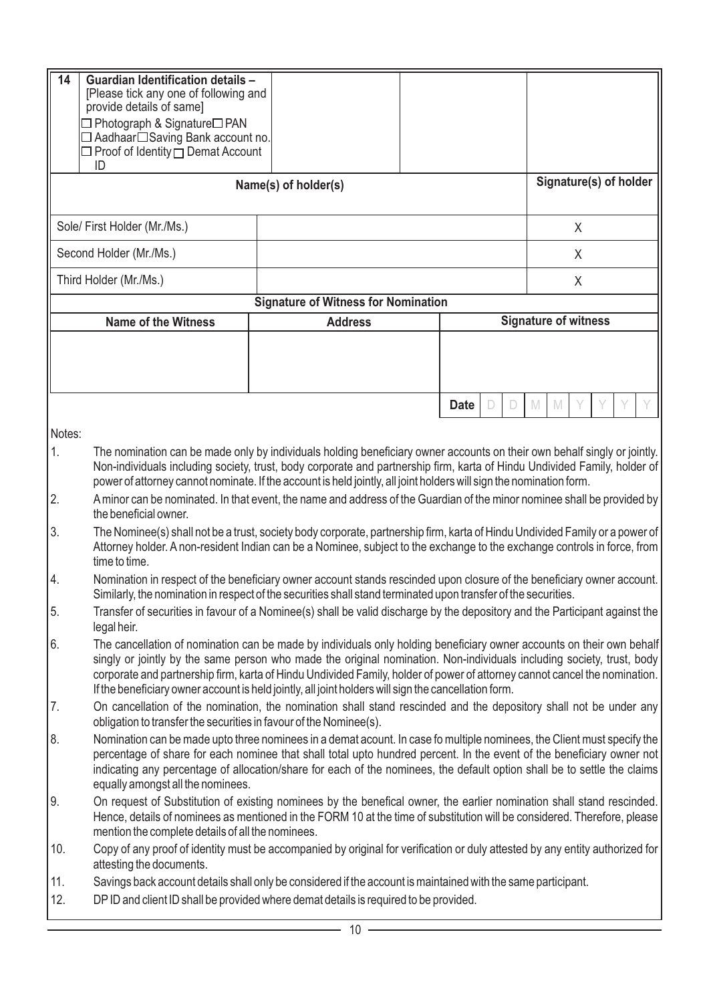| 14     | <b>Guardian Identification details -</b><br>[Please tick any one of following and<br>provide details of same]<br>□ Photograph & Signature□ PAN<br>□ Aadhaar□Saving Bank account no.<br>$\Box$ Proof of Identity $\Box$ Demat Account<br>ID                                                                                                                                                                                                                                           |                                            |  |                       |                             |  |
|--------|--------------------------------------------------------------------------------------------------------------------------------------------------------------------------------------------------------------------------------------------------------------------------------------------------------------------------------------------------------------------------------------------------------------------------------------------------------------------------------------|--------------------------------------------|--|-----------------------|-----------------------------|--|
|        |                                                                                                                                                                                                                                                                                                                                                                                                                                                                                      | Name(s) of holder(s)                       |  |                       | Signature(s) of holder      |  |
|        | Sole/ First Holder (Mr./Ms.)                                                                                                                                                                                                                                                                                                                                                                                                                                                         |                                            |  |                       | X                           |  |
|        | Second Holder (Mr./Ms.)                                                                                                                                                                                                                                                                                                                                                                                                                                                              |                                            |  |                       | X                           |  |
|        | Third Holder (Mr./Ms.)                                                                                                                                                                                                                                                                                                                                                                                                                                                               |                                            |  |                       | X                           |  |
|        |                                                                                                                                                                                                                                                                                                                                                                                                                                                                                      | <b>Signature of Witness for Nomination</b> |  |                       |                             |  |
|        | <b>Name of the Witness</b>                                                                                                                                                                                                                                                                                                                                                                                                                                                           | <b>Address</b>                             |  |                       | <b>Signature of witness</b> |  |
|        |                                                                                                                                                                                                                                                                                                                                                                                                                                                                                      |                                            |  |                       |                             |  |
|        |                                                                                                                                                                                                                                                                                                                                                                                                                                                                                      |                                            |  | <b>Date</b><br>D<br>D | M<br>M                      |  |
| Notes: |                                                                                                                                                                                                                                                                                                                                                                                                                                                                                      |                                            |  |                       |                             |  |
| 1.     | The nomination can be made only by individuals holding beneficiary owner accounts on their own behalf singly or jointly.<br>Non-individuals including society, trust, body corporate and partnership firm, karta of Hindu Undivided Family, holder of<br>power of attorney cannot nominate. If the account is held jointly, all joint holders will sign the nomination form.                                                                                                         |                                            |  |                       |                             |  |
| 2.     | A minor can be nominated. In that event, the name and address of the Guardian of the minor nominee shall be provided by<br>the beneficial owner.                                                                                                                                                                                                                                                                                                                                     |                                            |  |                       |                             |  |
| 3.     | The Nominee(s) shall not be a trust, society body corporate, partnership firm, karta of Hindu Undivided Family or a power of<br>Attorney holder. A non-resident Indian can be a Nominee, subject to the exchange to the exchange controls in force, from<br>time to time.                                                                                                                                                                                                            |                                            |  |                       |                             |  |
| 4.     | Nomination in respect of the beneficiary owner account stands rescinded upon closure of the beneficiary owner account.<br>Similarly, the nomination in respect of the securities shall stand terminated upon transfer of the securities.                                                                                                                                                                                                                                             |                                            |  |                       |                             |  |
| 5.     | Transfer of securities in favour of a Nominee(s) shall be valid discharge by the depository and the Participant against the<br>legal heir.                                                                                                                                                                                                                                                                                                                                           |                                            |  |                       |                             |  |
| 6.     | The cancellation of nomination can be made by individuals only holding beneficiary owner accounts on their own behalf<br>singly or jointly by the same person who made the original nomination. Non-individuals including society, trust, body<br>corporate and partnership firm, karta of Hindu Undivided Family, holder of power of attorney cannot cancel the nomination.<br>If the beneficiary owner account is held jointly, all joint holders will sign the cancellation form. |                                            |  |                       |                             |  |
| 7.     | On cancellation of the nomination, the nomination shall stand rescinded and the depository shall not be under any<br>obligation to transfer the securities in favour of the Nominee(s).                                                                                                                                                                                                                                                                                              |                                            |  |                       |                             |  |
| 8.     | Nomination can be made upto three nominees in a demat acount. In case fo multiple nominees, the Client must specify the<br>percentage of share for each nominee that shall total upto hundred percent. In the event of the beneficiary owner not<br>indicating any percentage of allocation/share for each of the nominees, the default option shall be to settle the claims<br>equally amongst all the nominees.                                                                    |                                            |  |                       |                             |  |
| 9.     | On request of Substitution of existing nominees by the benefical owner, the earlier nomination shall stand rescinded.<br>Hence, details of nominees as mentioned in the FORM 10 at the time of substitution will be considered. Therefore, please<br>mention the complete details of all the nominees.                                                                                                                                                                               |                                            |  |                       |                             |  |
| 10.    | Copy of any proof of identity must be accompanied by original for verification or duly attested by any entity authorized for<br>attesting the documents.                                                                                                                                                                                                                                                                                                                             |                                            |  |                       |                             |  |
| 11.    | Savings back account details shall only be considered if the account is maintained with the same participant.                                                                                                                                                                                                                                                                                                                                                                        |                                            |  |                       |                             |  |
| 12.    | DPID and client ID shall be provided where demat details is required to be provided.                                                                                                                                                                                                                                                                                                                                                                                                 |                                            |  |                       |                             |  |
|        | 10                                                                                                                                                                                                                                                                                                                                                                                                                                                                                   |                                            |  |                       |                             |  |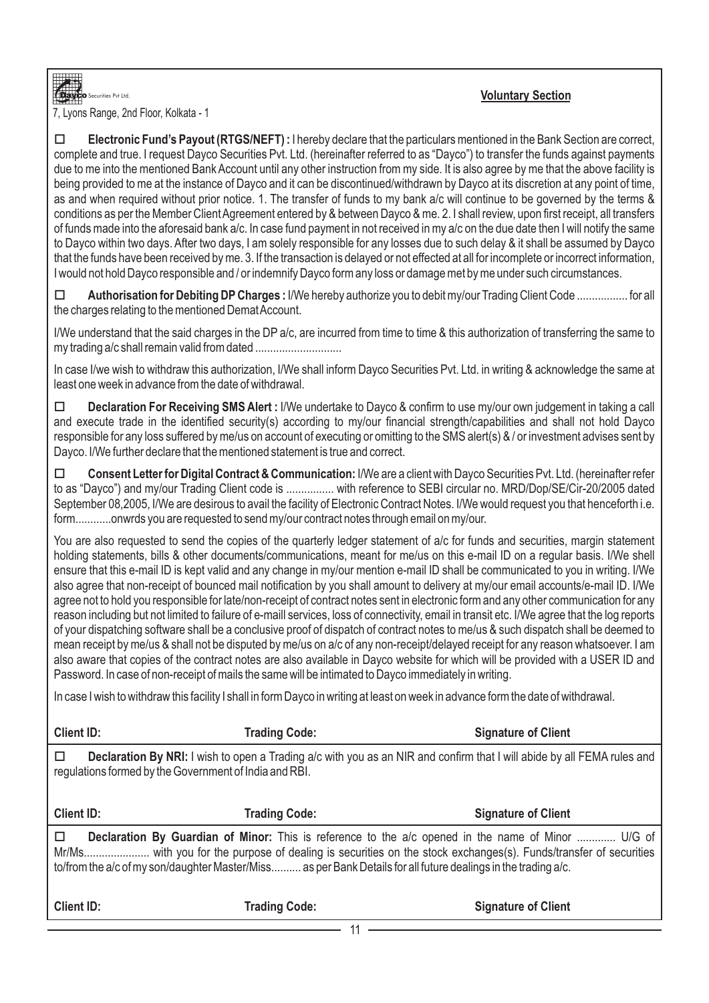# **Voluntary Section**

7, L yons Range, 2nd Floor, Kolkata - 1

.<br>Securities Pvt Ltd.

□ **Electronic Fund's Payout (RTGS/NEFT)** : I hereby declare that the particulars mentioned in the Bank Section are correct, complete and true. I request Dayco Securities Pvt. Ltd. (hereinafter referred to as "Dayco") to transfer the funds against payments due to me into the mentioned Bank Account until any other instruction from my side. It is also agree by me that the above facility is being provided to me at the instance of Dayco and it can be discontinued/withdrawn by Dayco at its discretion at any point of time, as and when required without prior notice. 1. The transfer of funds to my bank a/c will continue to be governed by the terms & conditions as per the Member Client Agreement entered by & between Dayco & me. 2. I shall review, upon first receipt, all transfers of funds made into the aforesaid bank a/c. In case fund payment in not received in my a/c on the due date then I will notify the same to Dayco within two days. After two days, I am solely responsible for any losses due to such delay & it shall be assumed by Dayco that the funds have been received by me. 3. If the transaction is delayed or not effected at all for incomplete or incorrect information, I would not hold Dayco responsible and / or indemnify Dayco form any loss or damage met by me under such circumstances.

□ Authorisation for Debiting DP Charges : I/We hereby authorize you to debit my/our Trading Client Code ................. for all the charges relating to the mentioned Demat Account.

I/We understand that the said charges in the DP a/c, are incurred from time to time & this authorization of transferring the same to my trading a/c shall remain valid from dated ...................................

In case I/we wish to withdraw this authorization, I/We shall inform Dayco Securities Pvt. Ltd. in writing & acknowledge the same at least one week in advance from the date of withdrawal.

□ **Declaration For Receiving SMS Alert :** I/We undertake to Dayco & confirm to use my/our own judgement in taking a call and execute trade in the identified security(s) according to my/our financial strength/capabilities and shall not hold Dayco responsible for any loss suffered by me/us on account of executing or omitting to the SMS alert(s) & / or investment advises sent by Dayco. I/We further declare that the mentioned statement is true and correct.

□ Consent Letter for Digital Contract & Communication: I/We are a client with Dayco Securities Pvt. Ltd. (hereinafter refer to as "Dayco") and my/our Trading Client code is ................ with reference to SEBI circular no. MRD/Dop/SE/Cir-20/2005 dated September 08,2005, I/We are desirous to avail the facility of Electronic Contract Notes. I/We would request you that henceforth i.e. form............onwrds you are requested to send my/our contract notes through email on my/our.

You are also requested to send the copies of the quarterly ledger statement of a/c for funds and securities, margin statement holding statements, bills & other documents/communications, meant for me/us on this e-mail ID on a regular basis. I/We shell ensure that this e-mail ID is kept valid and any change in my/our mention e-mail ID shall be communicated to you in writing. I/We also agree that non-receipt of bounced mail notification by you shall amount to delivery at my/our email accounts/e-mail ID. I/We agree not to hold you responsible for late/non-receipt of contract notes sent in electronic form and any other communication for any reason including but not limited to failure of e-maill services, loss of connectivity, email in transit etc. I/We agree that the log reports of your dispatching software shall be a conclusive proof of dispatch of contract notes to me/us & such dispatch shall be deemed to mean receipt by me/us & shall not be disputed by me/us on a/c of any non-receipt/delayed receipt for any reason whatsoever. I am also aware that copies of the contract notes are also available in Dayco website for which will be provided with a USER ID and Password. In case of non-receipt of mails the same will be intimated to Dayco immediately in writing.

In case I wish to withdraw this facility I shall in form Dayco in writing at least on week in advance form the date of withdrawal.

| <b>Client ID:</b>                                      | <b>Trading Code:</b>                                                                                                                                                                                                        | <b>Signature of Client</b> |
|--------------------------------------------------------|-----------------------------------------------------------------------------------------------------------------------------------------------------------------------------------------------------------------------------|----------------------------|
| regulations formed by the Government of India and RBI. | <b>Declaration By NRI:</b> I wish to open a Trading a/c with you as an NIR and confirm that I will abide by all FEMA rules and                                                                                              |                            |
| <b>Client ID:</b>                                      | <b>Trading Code:</b>                                                                                                                                                                                                        | <b>Signature of Client</b> |
|                                                        | <b>Declaration By Guardian of Minor:</b> This is reference to the a/c opened in the name of Minor  U/G of<br>to/from the a/c of my son/daughter Master/Miss as per Bank Details for all future dealings in the trading a/c. |                            |
| <b>Client ID:</b>                                      | <b>Trading Code:</b>                                                                                                                                                                                                        | <b>Signature of Client</b> |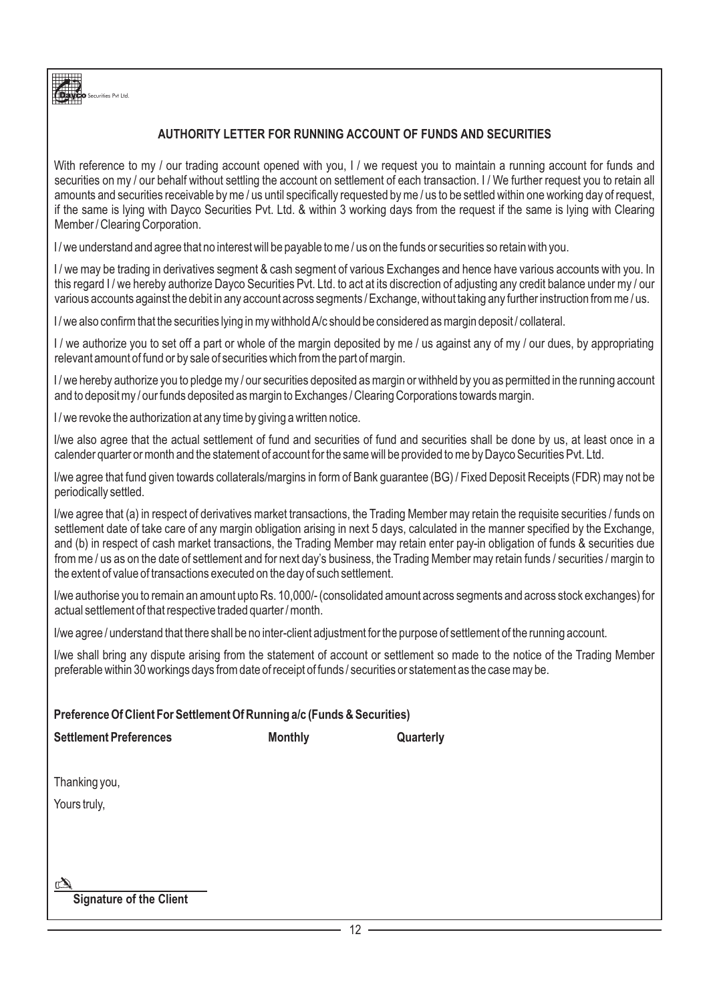

# **AUTHORITY LETTER FOR RUNNING ACCOUNT OF FUNDS AND SECURITIES**

With reference to my / our trading account opened with you, I / we request you to maintain a running account for funds and securities on my / our behalf without settling the account on settlement of each transaction. I / We further request you to retain all amounts and securities receivable by me / us until specifically requested by me / us to be settled within one working day of request, if the same is lying with Dayco Securities Pvt. Ltd. & within 3 working days from the request if the same is lying with Clearing Member / Clearing Corporation.

I/we understand and agree that no interest will be payable to me/us on the funds or securities so retain with you.

I / we may be trading in derivatives segment & cash segment of various Exchanges and hence have various accounts with you. In this regard I / we hereby authorize Dayco Securities Pvt. Ltd. to act at its discrection of adjusting any credit balance under my / our various accounts against the debit in any account across segments / Exchange, without taking any further instruction from me / us.

I / we also confirm that the securities lying in my withhold A/c should be considered as margin deposit / collateral.

I / we authorize you to set off a part or whole of the margin deposited by me / us against any of my / our dues, by appropriating relevant amount of fund or by sale of securities which from the part of margin.

I / we hereby authorize you to pledge my / our securities deposited as margin or withheld by you as permitted in the running account and to deposit my / our funds deposited as margin to Exchanges / Clearing Corporations towards margin.

I/we revoke the authorization at any time by giving a written notice.

I/we also agree that the actual settlement of fund and securities of fund and securities shall be done by us, at least once in a calender quarter or month and the statement of account for the same will be provided to me by Dayco Securities Pvt. Ltd.

I/we agree that fund given towards collaterals/margins in form of Bank guarantee (BG) / Fixed Deposit Receipts (FDR) may not be periodically settled.

I/we agree that (a) in respect of derivatives market transactions, the Trading Member may retain the requisite securities / funds on settlement date of take care of any margin obligation arising in next 5 days, calculated in the manner specified by the Exchange, and (b) in respect of cash market transactions, the Trading Member may retain enter pay-in obligation of funds & securities due from me / us as on the date of settlement and for next day's business, the Trading Member may retain funds / securities / margin to the extent of value of transactions executed on the day of such settlement.

I/we authorise you to remain an amount upto Rs. 10,000/- (consolidated amount across segments and across stock exchanges) for actual settlement of that respective traded quarter / month.

I/we agree / understand that there shall be no inter-client adjustment for the purpose of settlement of the running account.

I/we shall bring any dispute arising from the statement of account or settlement so made to the notice of the Trading Member preferable within 30 workings days from date of receipt of funds / securities or statement as the case may be.

|                                | Preference Of Client For Settlement Of Running a/c (Funds & Securities) |           |  |  |  |  |  |  |
|--------------------------------|-------------------------------------------------------------------------|-----------|--|--|--|--|--|--|
| <b>Settlement Preferences</b>  | <b>Monthly</b>                                                          | Quarterly |  |  |  |  |  |  |
| Thanking you,                  |                                                                         |           |  |  |  |  |  |  |
|                                |                                                                         |           |  |  |  |  |  |  |
| Yours truly,                   |                                                                         |           |  |  |  |  |  |  |
|                                |                                                                         |           |  |  |  |  |  |  |
|                                |                                                                         |           |  |  |  |  |  |  |
|                                |                                                                         |           |  |  |  |  |  |  |
|                                |                                                                         |           |  |  |  |  |  |  |
| <b>Signature of the Client</b> |                                                                         |           |  |  |  |  |  |  |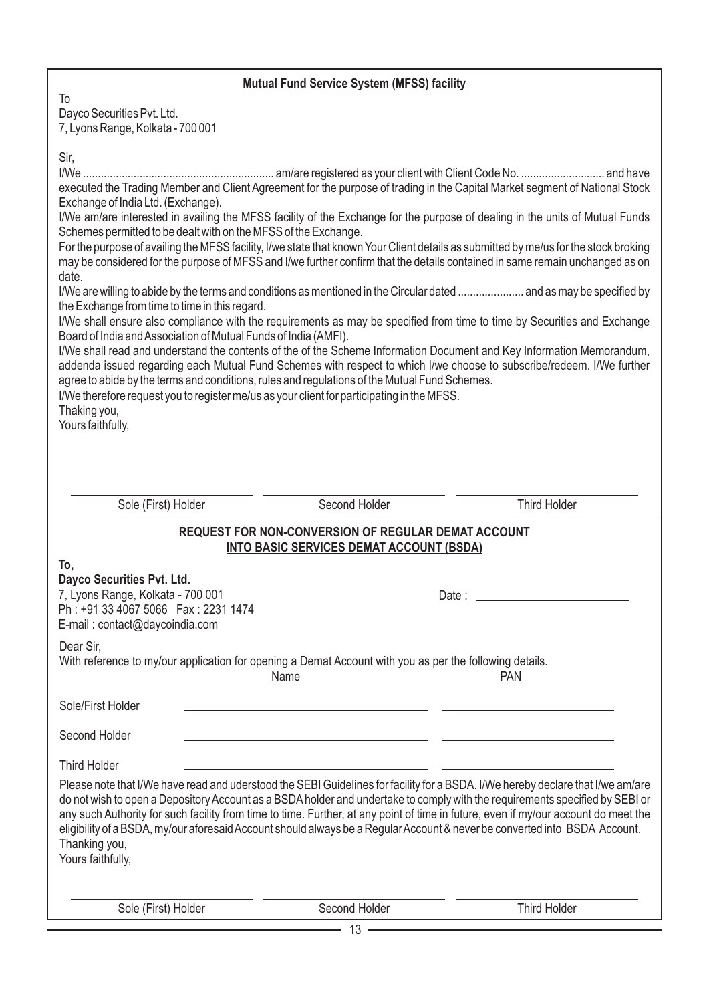# **Mutual Fund Service System (MFSS) facility**

To Dayco Securities Pvt. Ltd. 7, Lyons Range, Kolkata - 700 001

| Sir,<br>executed the Trading Member and Client Agreement for the purpose of trading in the Capital Market segment of National Stock<br>Exchange of India Ltd. (Exchange).<br>I/We am/are interested in availing the MFSS facility of the Exchange for the purpose of dealing in the units of Mutual Funds<br>Schemes permitted to be dealt with on the MFSS of the Exchange.<br>For the purpose of availing the MFSS facility, I/we state that known Your Client details as submitted by me/us for the stock broking<br>may be considered for the purpose of MFSS and I/we further confirm that the details contained in same remain unchanged as on<br>date.<br>I/We are willing to abide by the terms and conditions as mentioned in the Circular dated  and as may be specified by<br>the Exchange from time to time in this regard.<br>I/We shall ensure also compliance with the requirements as may be specified from time to time by Securities and Exchange<br>Board of India and Association of Mutual Funds of India (AMFI).<br>I/We shall read and understand the contents of the of the Scheme Information Document and Key Information Memorandum,<br>addenda issued regarding each Mutual Fund Schemes with respect to which I/we choose to subscribe/redeem. I/We further<br>agree to abide by the terms and conditions, rules and regulations of the Mutual Fund Schemes.<br>I/We therefore request you to register me/us as your client for participating in the MFSS.<br>Thaking you,<br>Yours faithfully, |                                                                                                                       |                               |
|------------------------------------------------------------------------------------------------------------------------------------------------------------------------------------------------------------------------------------------------------------------------------------------------------------------------------------------------------------------------------------------------------------------------------------------------------------------------------------------------------------------------------------------------------------------------------------------------------------------------------------------------------------------------------------------------------------------------------------------------------------------------------------------------------------------------------------------------------------------------------------------------------------------------------------------------------------------------------------------------------------------------------------------------------------------------------------------------------------------------------------------------------------------------------------------------------------------------------------------------------------------------------------------------------------------------------------------------------------------------------------------------------------------------------------------------------------------------------------------------------------------------------|-----------------------------------------------------------------------------------------------------------------------|-------------------------------|
| Sole (First) Holder                                                                                                                                                                                                                                                                                                                                                                                                                                                                                                                                                                                                                                                                                                                                                                                                                                                                                                                                                                                                                                                                                                                                                                                                                                                                                                                                                                                                                                                                                                          | Second Holder                                                                                                         | <b>Third Holder</b>           |
| To,<br>Dayco Securities Pvt. Ltd.<br>7, Lyons Range, Kolkata - 700 001<br>Ph: +91 33 4067 5066  Fax: 2231 1474<br>E-mail: contact@daycoindia.com<br>Dear Sir,<br>With reference to my/our application for opening a Demat Account with you as per the following details.                                                                                                                                                                                                                                                                                                                                                                                                                                                                                                                                                                                                                                                                                                                                                                                                                                                                                                                                                                                                                                                                                                                                                                                                                                                     | <b>REQUEST FOR NON-CONVERSION OF REGULAR DEMAT ACCOUNT</b><br><b>INTO BASIC SERVICES DEMAT ACCOUNT (BSDA)</b><br>Name | Date: _________<br><b>PAN</b> |
| Sole/First Holder                                                                                                                                                                                                                                                                                                                                                                                                                                                                                                                                                                                                                                                                                                                                                                                                                                                                                                                                                                                                                                                                                                                                                                                                                                                                                                                                                                                                                                                                                                            |                                                                                                                       |                               |
| Second Holder                                                                                                                                                                                                                                                                                                                                                                                                                                                                                                                                                                                                                                                                                                                                                                                                                                                                                                                                                                                                                                                                                                                                                                                                                                                                                                                                                                                                                                                                                                                |                                                                                                                       |                               |
| <b>Third Holder</b><br>Please note that I/We have read and uderstood the SEBI Guidelines for facility for a BSDA. I/We hereby declare that I/we am/are<br>do not wish to open a Depository Account as a BSDA holder and undertake to comply with the requirements specified by SEBI or<br>any such Authority for such facility from time to time. Further, at any point of time in future, even if my/our account do meet the<br>eligibility of a BSDA, my/our aforesaid Account should always be a Regular Account & never be converted into BSDA Account.<br>Thanking you,<br>Yours faithfully,                                                                                                                                                                                                                                                                                                                                                                                                                                                                                                                                                                                                                                                                                                                                                                                                                                                                                                                            |                                                                                                                       |                               |
| Sole (First) Holder                                                                                                                                                                                                                                                                                                                                                                                                                                                                                                                                                                                                                                                                                                                                                                                                                                                                                                                                                                                                                                                                                                                                                                                                                                                                                                                                                                                                                                                                                                          | Second Holder                                                                                                         | <b>Third Holder</b>           |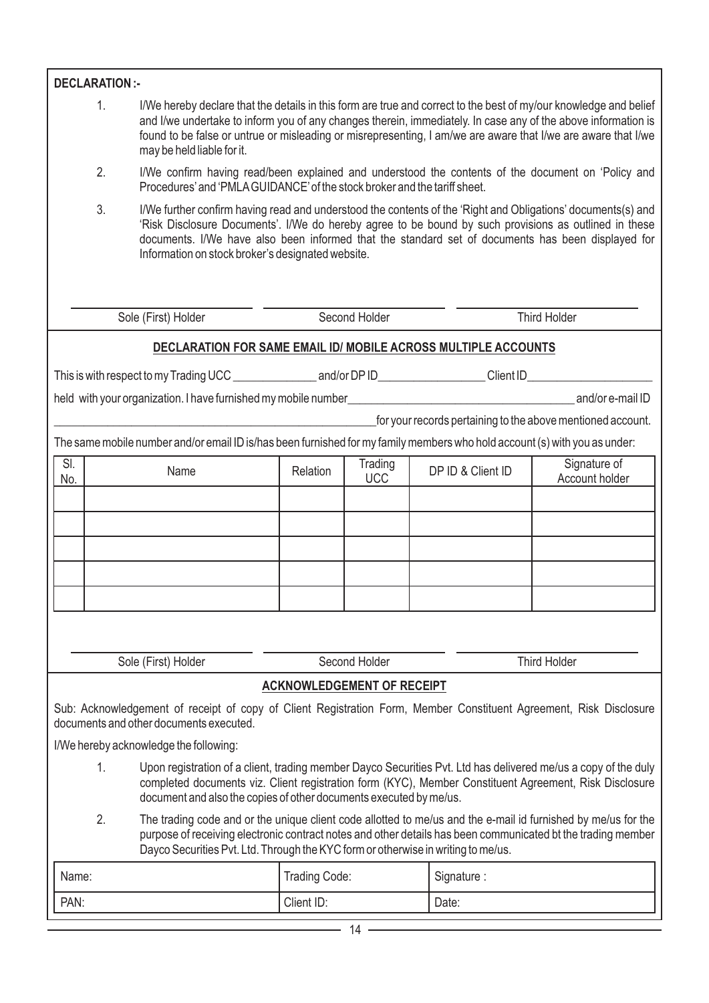| <b>DECLARATION:-</b> |                                                                                                                                                                                                                                                                                                                                                                                         |               |                                   |                   |                                                             |  |  |  |  |  |  |  |
|----------------------|-----------------------------------------------------------------------------------------------------------------------------------------------------------------------------------------------------------------------------------------------------------------------------------------------------------------------------------------------------------------------------------------|---------------|-----------------------------------|-------------------|-------------------------------------------------------------|--|--|--|--|--|--|--|
|                      |                                                                                                                                                                                                                                                                                                                                                                                         |               |                                   |                   |                                                             |  |  |  |  |  |  |  |
|                      | 1.<br>I/We hereby declare that the details in this form are true and correct to the best of my/our knowledge and belief<br>and I/we undertake to inform you of any changes therein, immediately. In case any of the above information is<br>found to be false or untrue or misleading or misrepresenting, I am/we are aware that I/we are aware that I/we<br>may be held liable for it. |               |                                   |                   |                                                             |  |  |  |  |  |  |  |
| 2.                   | I/We confirm having read/been explained and understood the contents of the document on 'Policy and<br>Procedures' and 'PMLA GUIDANCE' of the stock broker and the tariff sheet.                                                                                                                                                                                                         |               |                                   |                   |                                                             |  |  |  |  |  |  |  |
| 3.                   | I/We further confirm having read and understood the contents of the 'Right and Obligations' documents(s) and<br>'Risk Disclosure Documents'. I/We do hereby agree to be bound by such provisions as outlined in these<br>documents. I/We have also been informed that the standard set of documents has been displayed for<br>Information on stock broker's designated website.         |               |                                   |                   |                                                             |  |  |  |  |  |  |  |
|                      | Second Holder<br>Third Holder<br>Sole (First) Holder                                                                                                                                                                                                                                                                                                                                    |               |                                   |                   |                                                             |  |  |  |  |  |  |  |
|                      | DECLARATION FOR SAME EMAIL ID/ MOBILE ACROSS MULTIPLE ACCOUNTS                                                                                                                                                                                                                                                                                                                          |               |                                   |                   |                                                             |  |  |  |  |  |  |  |
|                      |                                                                                                                                                                                                                                                                                                                                                                                         |               |                                   |                   |                                                             |  |  |  |  |  |  |  |
|                      |                                                                                                                                                                                                                                                                                                                                                                                         |               |                                   |                   |                                                             |  |  |  |  |  |  |  |
|                      |                                                                                                                                                                                                                                                                                                                                                                                         |               |                                   |                   | for your records pertaining to the above mentioned account. |  |  |  |  |  |  |  |
|                      | The same mobile number and/or email ID is/has been furnished for my family members who hold account (s) with you as under:                                                                                                                                                                                                                                                              |               |                                   |                   |                                                             |  |  |  |  |  |  |  |
| SI.<br>No.           | Name                                                                                                                                                                                                                                                                                                                                                                                    | Relation      | Trading<br><b>UCC</b>             | DP ID & Client ID | Signature of<br>Account holder                              |  |  |  |  |  |  |  |
|                      |                                                                                                                                                                                                                                                                                                                                                                                         |               |                                   |                   |                                                             |  |  |  |  |  |  |  |
|                      |                                                                                                                                                                                                                                                                                                                                                                                         |               |                                   |                   |                                                             |  |  |  |  |  |  |  |
|                      |                                                                                                                                                                                                                                                                                                                                                                                         |               |                                   |                   |                                                             |  |  |  |  |  |  |  |
|                      |                                                                                                                                                                                                                                                                                                                                                                                         |               |                                   |                   |                                                             |  |  |  |  |  |  |  |
|                      |                                                                                                                                                                                                                                                                                                                                                                                         |               |                                   |                   |                                                             |  |  |  |  |  |  |  |
|                      |                                                                                                                                                                                                                                                                                                                                                                                         |               |                                   |                   |                                                             |  |  |  |  |  |  |  |
|                      | Sole (First) Holder                                                                                                                                                                                                                                                                                                                                                                     |               | Second Holder                     |                   | <b>Third Holder</b>                                         |  |  |  |  |  |  |  |
|                      |                                                                                                                                                                                                                                                                                                                                                                                         |               | <b>ACKNOWLEDGEMENT OF RECEIPT</b> |                   |                                                             |  |  |  |  |  |  |  |
|                      | Sub: Acknowledgement of receipt of copy of Client Registration Form, Member Constituent Agreement, Risk Disclosure<br>documents and other documents executed.                                                                                                                                                                                                                           |               |                                   |                   |                                                             |  |  |  |  |  |  |  |
|                      | I/We hereby acknowledge the following:                                                                                                                                                                                                                                                                                                                                                  |               |                                   |                   |                                                             |  |  |  |  |  |  |  |
| 1.                   | Upon registration of a client, trading member Dayco Securities Pvt. Ltd has delivered me/us a copy of the duly                                                                                                                                                                                                                                                                          |               |                                   |                   |                                                             |  |  |  |  |  |  |  |
|                      | completed documents viz. Client registration form (KYC), Member Constituent Agreement, Risk Disclosure<br>document and also the copies of other documents executed by me/us.                                                                                                                                                                                                            |               |                                   |                   |                                                             |  |  |  |  |  |  |  |
| 2.                   | The trading code and or the unique client code allotted to me/us and the e-mail id furnished by me/us for the<br>purpose of receiving electronic contract notes and other details has been communicated bt the trading member<br>Dayco Securities Pvt. Ltd. Through the KYC form or otherwise in writing to me/us.                                                                      |               |                                   |                   |                                                             |  |  |  |  |  |  |  |
| Name:                |                                                                                                                                                                                                                                                                                                                                                                                         | Trading Code: |                                   | Signature:        |                                                             |  |  |  |  |  |  |  |
| PAN:                 |                                                                                                                                                                                                                                                                                                                                                                                         | Client ID:    |                                   | Date:             |                                                             |  |  |  |  |  |  |  |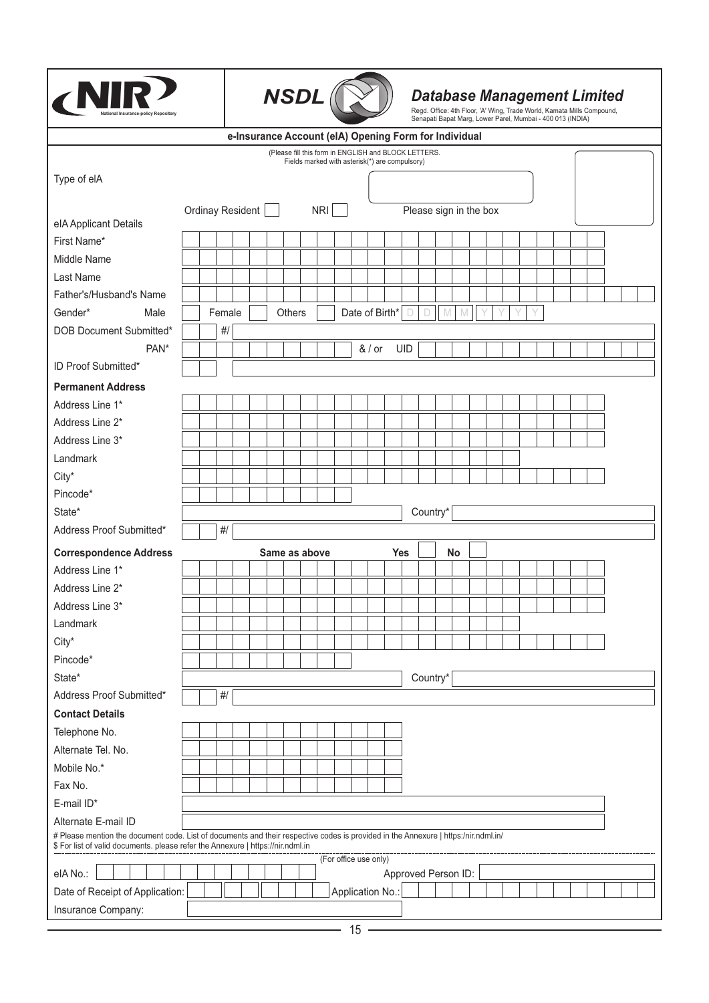| Insurance-policv Repositorv                                                                                                                                                                                           |                         |        |                                                       |  | <b>NSDL</b>                                          |     |  |                       |            | <b>Database Management Limited</b><br>Regd. Office: 4th Floor, 'A' Wing, Trade World, Kamata Mills Compound,<br>Senapati Bapat Marg, Lower Parel, Mumbai - 400 013 (INDIA) |   |    |  |  |  |  |  |  |
|-----------------------------------------------------------------------------------------------------------------------------------------------------------------------------------------------------------------------|-------------------------|--------|-------------------------------------------------------|--|------------------------------------------------------|-----|--|-----------------------|------------|----------------------------------------------------------------------------------------------------------------------------------------------------------------------------|---|----|--|--|--|--|--|--|
|                                                                                                                                                                                                                       |                         |        | e-Insurance Account (eIA) Opening Form for Individual |  | (Please fill this form in ENGLISH and BLOCK LETTERS. |     |  |                       |            |                                                                                                                                                                            |   |    |  |  |  |  |  |  |
|                                                                                                                                                                                                                       |                         |        |                                                       |  | Fields marked with asterisk(*) are compulsory)       |     |  |                       |            |                                                                                                                                                                            |   |    |  |  |  |  |  |  |
| Type of elA                                                                                                                                                                                                           |                         |        |                                                       |  |                                                      |     |  |                       |            |                                                                                                                                                                            |   |    |  |  |  |  |  |  |
|                                                                                                                                                                                                                       | <b>Ordinay Resident</b> |        |                                                       |  |                                                      | NRI |  |                       |            | Please sign in the box                                                                                                                                                     |   |    |  |  |  |  |  |  |
| elA Applicant Details                                                                                                                                                                                                 |                         |        |                                                       |  |                                                      |     |  |                       |            |                                                                                                                                                                            |   |    |  |  |  |  |  |  |
| First Name*                                                                                                                                                                                                           |                         |        |                                                       |  |                                                      |     |  |                       |            |                                                                                                                                                                            |   |    |  |  |  |  |  |  |
| Middle Name                                                                                                                                                                                                           |                         |        |                                                       |  |                                                      |     |  |                       |            |                                                                                                                                                                            |   |    |  |  |  |  |  |  |
| Last Name                                                                                                                                                                                                             |                         |        |                                                       |  |                                                      |     |  |                       |            |                                                                                                                                                                            |   |    |  |  |  |  |  |  |
| Father's/Husband's Name                                                                                                                                                                                               |                         |        |                                                       |  |                                                      |     |  |                       |            |                                                                                                                                                                            |   |    |  |  |  |  |  |  |
| Gender*<br>Male                                                                                                                                                                                                       |                         | Female |                                                       |  | <b>Others</b>                                        |     |  | Date of Birth*        | $\Box$     | D                                                                                                                                                                          | M |    |  |  |  |  |  |  |
| DOB Document Submitted*                                                                                                                                                                                               |                         | #/     |                                                       |  |                                                      |     |  |                       |            |                                                                                                                                                                            |   |    |  |  |  |  |  |  |
| PAN*                                                                                                                                                                                                                  |                         |        |                                                       |  |                                                      |     |  | & / or                | UID        |                                                                                                                                                                            |   |    |  |  |  |  |  |  |
| ID Proof Submitted*                                                                                                                                                                                                   |                         |        |                                                       |  |                                                      |     |  |                       |            |                                                                                                                                                                            |   |    |  |  |  |  |  |  |
| <b>Permanent Address</b>                                                                                                                                                                                              |                         |        |                                                       |  |                                                      |     |  |                       |            |                                                                                                                                                                            |   |    |  |  |  |  |  |  |
| Address Line 1*                                                                                                                                                                                                       |                         |        |                                                       |  |                                                      |     |  |                       |            |                                                                                                                                                                            |   |    |  |  |  |  |  |  |
| Address Line 2*                                                                                                                                                                                                       |                         |        |                                                       |  |                                                      |     |  |                       |            |                                                                                                                                                                            |   |    |  |  |  |  |  |  |
| Address Line 3*                                                                                                                                                                                                       |                         |        |                                                       |  |                                                      |     |  |                       |            |                                                                                                                                                                            |   |    |  |  |  |  |  |  |
| Landmark                                                                                                                                                                                                              |                         |        |                                                       |  |                                                      |     |  |                       |            |                                                                                                                                                                            |   |    |  |  |  |  |  |  |
| City*                                                                                                                                                                                                                 |                         |        |                                                       |  |                                                      |     |  |                       |            |                                                                                                                                                                            |   |    |  |  |  |  |  |  |
| Pincode*                                                                                                                                                                                                              |                         |        |                                                       |  |                                                      |     |  |                       |            |                                                                                                                                                                            |   |    |  |  |  |  |  |  |
| State*                                                                                                                                                                                                                |                         |        |                                                       |  |                                                      |     |  |                       |            | Country*                                                                                                                                                                   |   |    |  |  |  |  |  |  |
| Address Proof Submitted*                                                                                                                                                                                              |                         | #/     |                                                       |  |                                                      |     |  |                       |            |                                                                                                                                                                            |   |    |  |  |  |  |  |  |
| <b>Correspondence Address</b>                                                                                                                                                                                         |                         |        |                                                       |  | Same as above                                        |     |  |                       | <b>Yes</b> |                                                                                                                                                                            |   | No |  |  |  |  |  |  |
| Address Line 1*                                                                                                                                                                                                       |                         |        |                                                       |  |                                                      |     |  |                       |            |                                                                                                                                                                            |   |    |  |  |  |  |  |  |
| Address Line 2*                                                                                                                                                                                                       |                         |        |                                                       |  |                                                      |     |  |                       |            |                                                                                                                                                                            |   |    |  |  |  |  |  |  |
| Address Line 3*                                                                                                                                                                                                       |                         |        |                                                       |  |                                                      |     |  |                       |            |                                                                                                                                                                            |   |    |  |  |  |  |  |  |
| Landmark                                                                                                                                                                                                              |                         |        |                                                       |  |                                                      |     |  |                       |            |                                                                                                                                                                            |   |    |  |  |  |  |  |  |
| City*                                                                                                                                                                                                                 |                         |        |                                                       |  |                                                      |     |  |                       |            |                                                                                                                                                                            |   |    |  |  |  |  |  |  |
| Pincode*                                                                                                                                                                                                              |                         |        |                                                       |  |                                                      |     |  |                       |            |                                                                                                                                                                            |   |    |  |  |  |  |  |  |
| State*                                                                                                                                                                                                                |                         |        |                                                       |  |                                                      |     |  |                       |            | Country*                                                                                                                                                                   |   |    |  |  |  |  |  |  |
| Address Proof Submitted*                                                                                                                                                                                              |                         | $#/$   |                                                       |  |                                                      |     |  |                       |            |                                                                                                                                                                            |   |    |  |  |  |  |  |  |
| <b>Contact Details</b>                                                                                                                                                                                                |                         |        |                                                       |  |                                                      |     |  |                       |            |                                                                                                                                                                            |   |    |  |  |  |  |  |  |
| Telephone No.                                                                                                                                                                                                         |                         |        |                                                       |  |                                                      |     |  |                       |            |                                                                                                                                                                            |   |    |  |  |  |  |  |  |
| Alternate Tel. No.                                                                                                                                                                                                    |                         |        |                                                       |  |                                                      |     |  |                       |            |                                                                                                                                                                            |   |    |  |  |  |  |  |  |
| Mobile No.*                                                                                                                                                                                                           |                         |        |                                                       |  |                                                      |     |  |                       |            |                                                                                                                                                                            |   |    |  |  |  |  |  |  |
| Fax No.                                                                                                                                                                                                               |                         |        |                                                       |  |                                                      |     |  |                       |            |                                                                                                                                                                            |   |    |  |  |  |  |  |  |
| E-mail ID*                                                                                                                                                                                                            |                         |        |                                                       |  |                                                      |     |  |                       |            |                                                                                                                                                                            |   |    |  |  |  |  |  |  |
| Alternate E-mail ID                                                                                                                                                                                                   |                         |        |                                                       |  |                                                      |     |  |                       |            |                                                                                                                                                                            |   |    |  |  |  |  |  |  |
| # Please mention the document code. List of documents and their respective codes is provided in the Annexure   https:/nir.ndml.in/<br>\$ For list of valid documents. please refer the Annexure   https://nir.ndml.in |                         |        |                                                       |  |                                                      |     |  |                       |            |                                                                                                                                                                            |   |    |  |  |  |  |  |  |
| elANo.:                                                                                                                                                                                                               |                         |        |                                                       |  |                                                      |     |  | (For office use only) |            | Approved Person ID:                                                                                                                                                        |   |    |  |  |  |  |  |  |
| Date of Receipt of Application:                                                                                                                                                                                       |                         |        |                                                       |  |                                                      |     |  | Application No.:      |            |                                                                                                                                                                            |   |    |  |  |  |  |  |  |
| Insurance Company:                                                                                                                                                                                                    |                         |        |                                                       |  |                                                      |     |  |                       |            |                                                                                                                                                                            |   |    |  |  |  |  |  |  |
|                                                                                                                                                                                                                       |                         |        |                                                       |  |                                                      |     |  |                       |            |                                                                                                                                                                            |   |    |  |  |  |  |  |  |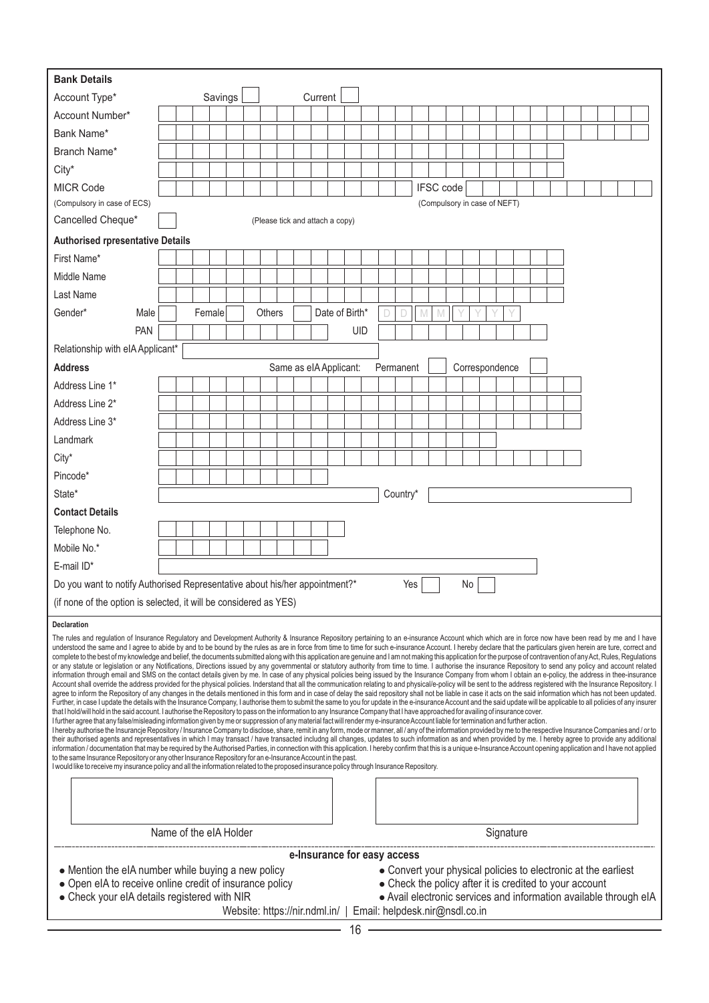| <b>Bank Details</b>                                                                                                                                                                                                                                                                                                                                                                                                                                                                                                                                                                                                                                                                                                                                                                                                                                                                                                                                                                                                                                                                                                                                                                                                                                                                                                                                                                                                                                                                                                                                                                                                                                                                                                                                                                                                                                                                                                                                                                                                                                                                                                                                                                                                                                                                                                                                                                                                                                                                                                                                                                                                                                                                                                                                                                                                                                                                                                                                                                                                                                                         |                        |  |         |                               |        |                                 |         |                |     |                             |          |                                                                                                                                                                                                                                  |    |                |           |  |  |  |  |  |
|-----------------------------------------------------------------------------------------------------------------------------------------------------------------------------------------------------------------------------------------------------------------------------------------------------------------------------------------------------------------------------------------------------------------------------------------------------------------------------------------------------------------------------------------------------------------------------------------------------------------------------------------------------------------------------------------------------------------------------------------------------------------------------------------------------------------------------------------------------------------------------------------------------------------------------------------------------------------------------------------------------------------------------------------------------------------------------------------------------------------------------------------------------------------------------------------------------------------------------------------------------------------------------------------------------------------------------------------------------------------------------------------------------------------------------------------------------------------------------------------------------------------------------------------------------------------------------------------------------------------------------------------------------------------------------------------------------------------------------------------------------------------------------------------------------------------------------------------------------------------------------------------------------------------------------------------------------------------------------------------------------------------------------------------------------------------------------------------------------------------------------------------------------------------------------------------------------------------------------------------------------------------------------------------------------------------------------------------------------------------------------------------------------------------------------------------------------------------------------------------------------------------------------------------------------------------------------------------------------------------------------------------------------------------------------------------------------------------------------------------------------------------------------------------------------------------------------------------------------------------------------------------------------------------------------------------------------------------------------------------------------------------------------------------------------------------------------|------------------------|--|---------|-------------------------------|--------|---------------------------------|---------|----------------|-----|-----------------------------|----------|----------------------------------------------------------------------------------------------------------------------------------------------------------------------------------------------------------------------------------|----|----------------|-----------|--|--|--|--|--|
| Account Type*                                                                                                                                                                                                                                                                                                                                                                                                                                                                                                                                                                                                                                                                                                                                                                                                                                                                                                                                                                                                                                                                                                                                                                                                                                                                                                                                                                                                                                                                                                                                                                                                                                                                                                                                                                                                                                                                                                                                                                                                                                                                                                                                                                                                                                                                                                                                                                                                                                                                                                                                                                                                                                                                                                                                                                                                                                                                                                                                                                                                                                                               |                        |  | Savings |                               |        |                                 | Current |                |     |                             |          |                                                                                                                                                                                                                                  |    |                |           |  |  |  |  |  |
| Account Number*                                                                                                                                                                                                                                                                                                                                                                                                                                                                                                                                                                                                                                                                                                                                                                                                                                                                                                                                                                                                                                                                                                                                                                                                                                                                                                                                                                                                                                                                                                                                                                                                                                                                                                                                                                                                                                                                                                                                                                                                                                                                                                                                                                                                                                                                                                                                                                                                                                                                                                                                                                                                                                                                                                                                                                                                                                                                                                                                                                                                                                                             |                        |  |         |                               |        |                                 |         |                |     |                             |          |                                                                                                                                                                                                                                  |    |                |           |  |  |  |  |  |
| Bank Name*                                                                                                                                                                                                                                                                                                                                                                                                                                                                                                                                                                                                                                                                                                                                                                                                                                                                                                                                                                                                                                                                                                                                                                                                                                                                                                                                                                                                                                                                                                                                                                                                                                                                                                                                                                                                                                                                                                                                                                                                                                                                                                                                                                                                                                                                                                                                                                                                                                                                                                                                                                                                                                                                                                                                                                                                                                                                                                                                                                                                                                                                  |                        |  |         |                               |        |                                 |         |                |     |                             |          |                                                                                                                                                                                                                                  |    |                |           |  |  |  |  |  |
| Branch Name*                                                                                                                                                                                                                                                                                                                                                                                                                                                                                                                                                                                                                                                                                                                                                                                                                                                                                                                                                                                                                                                                                                                                                                                                                                                                                                                                                                                                                                                                                                                                                                                                                                                                                                                                                                                                                                                                                                                                                                                                                                                                                                                                                                                                                                                                                                                                                                                                                                                                                                                                                                                                                                                                                                                                                                                                                                                                                                                                                                                                                                                                |                        |  |         |                               |        |                                 |         |                |     |                             |          |                                                                                                                                                                                                                                  |    |                |           |  |  |  |  |  |
| City*                                                                                                                                                                                                                                                                                                                                                                                                                                                                                                                                                                                                                                                                                                                                                                                                                                                                                                                                                                                                                                                                                                                                                                                                                                                                                                                                                                                                                                                                                                                                                                                                                                                                                                                                                                                                                                                                                                                                                                                                                                                                                                                                                                                                                                                                                                                                                                                                                                                                                                                                                                                                                                                                                                                                                                                                                                                                                                                                                                                                                                                                       |                        |  |         |                               |        |                                 |         |                |     |                             |          |                                                                                                                                                                                                                                  |    |                |           |  |  |  |  |  |
| <b>MICR Code</b>                                                                                                                                                                                                                                                                                                                                                                                                                                                                                                                                                                                                                                                                                                                                                                                                                                                                                                                                                                                                                                                                                                                                                                                                                                                                                                                                                                                                                                                                                                                                                                                                                                                                                                                                                                                                                                                                                                                                                                                                                                                                                                                                                                                                                                                                                                                                                                                                                                                                                                                                                                                                                                                                                                                                                                                                                                                                                                                                                                                                                                                            |                        |  |         |                               |        |                                 |         |                |     |                             |          | <b>IFSC</b> code                                                                                                                                                                                                                 |    |                |           |  |  |  |  |  |
| (Compulsory in case of ECS)                                                                                                                                                                                                                                                                                                                                                                                                                                                                                                                                                                                                                                                                                                                                                                                                                                                                                                                                                                                                                                                                                                                                                                                                                                                                                                                                                                                                                                                                                                                                                                                                                                                                                                                                                                                                                                                                                                                                                                                                                                                                                                                                                                                                                                                                                                                                                                                                                                                                                                                                                                                                                                                                                                                                                                                                                                                                                                                                                                                                                                                 |                        |  |         |                               |        |                                 |         |                |     |                             |          | (Compulsory in case of NEFT)                                                                                                                                                                                                     |    |                |           |  |  |  |  |  |
| Cancelled Cheque*                                                                                                                                                                                                                                                                                                                                                                                                                                                                                                                                                                                                                                                                                                                                                                                                                                                                                                                                                                                                                                                                                                                                                                                                                                                                                                                                                                                                                                                                                                                                                                                                                                                                                                                                                                                                                                                                                                                                                                                                                                                                                                                                                                                                                                                                                                                                                                                                                                                                                                                                                                                                                                                                                                                                                                                                                                                                                                                                                                                                                                                           |                        |  |         |                               |        | (Please tick and attach a copy) |         |                |     |                             |          |                                                                                                                                                                                                                                  |    |                |           |  |  |  |  |  |
| <b>Authorised rpresentative Details</b>                                                                                                                                                                                                                                                                                                                                                                                                                                                                                                                                                                                                                                                                                                                                                                                                                                                                                                                                                                                                                                                                                                                                                                                                                                                                                                                                                                                                                                                                                                                                                                                                                                                                                                                                                                                                                                                                                                                                                                                                                                                                                                                                                                                                                                                                                                                                                                                                                                                                                                                                                                                                                                                                                                                                                                                                                                                                                                                                                                                                                                     |                        |  |         |                               |        |                                 |         |                |     |                             |          |                                                                                                                                                                                                                                  |    |                |           |  |  |  |  |  |
| First Name*                                                                                                                                                                                                                                                                                                                                                                                                                                                                                                                                                                                                                                                                                                                                                                                                                                                                                                                                                                                                                                                                                                                                                                                                                                                                                                                                                                                                                                                                                                                                                                                                                                                                                                                                                                                                                                                                                                                                                                                                                                                                                                                                                                                                                                                                                                                                                                                                                                                                                                                                                                                                                                                                                                                                                                                                                                                                                                                                                                                                                                                                 |                        |  |         |                               |        |                                 |         |                |     |                             |          |                                                                                                                                                                                                                                  |    |                |           |  |  |  |  |  |
| Middle Name                                                                                                                                                                                                                                                                                                                                                                                                                                                                                                                                                                                                                                                                                                                                                                                                                                                                                                                                                                                                                                                                                                                                                                                                                                                                                                                                                                                                                                                                                                                                                                                                                                                                                                                                                                                                                                                                                                                                                                                                                                                                                                                                                                                                                                                                                                                                                                                                                                                                                                                                                                                                                                                                                                                                                                                                                                                                                                                                                                                                                                                                 |                        |  |         |                               |        |                                 |         |                |     |                             |          |                                                                                                                                                                                                                                  |    |                |           |  |  |  |  |  |
| Last Name                                                                                                                                                                                                                                                                                                                                                                                                                                                                                                                                                                                                                                                                                                                                                                                                                                                                                                                                                                                                                                                                                                                                                                                                                                                                                                                                                                                                                                                                                                                                                                                                                                                                                                                                                                                                                                                                                                                                                                                                                                                                                                                                                                                                                                                                                                                                                                                                                                                                                                                                                                                                                                                                                                                                                                                                                                                                                                                                                                                                                                                                   |                        |  |         |                               |        |                                 |         |                |     |                             |          |                                                                                                                                                                                                                                  |    |                |           |  |  |  |  |  |
| Gender*<br>Male                                                                                                                                                                                                                                                                                                                                                                                                                                                                                                                                                                                                                                                                                                                                                                                                                                                                                                                                                                                                                                                                                                                                                                                                                                                                                                                                                                                                                                                                                                                                                                                                                                                                                                                                                                                                                                                                                                                                                                                                                                                                                                                                                                                                                                                                                                                                                                                                                                                                                                                                                                                                                                                                                                                                                                                                                                                                                                                                                                                                                                                             |                        |  | Female  |                               | Others |                                 |         | Date of Birth* |     | D                           | Ð        |                                                                                                                                                                                                                                  |    |                |           |  |  |  |  |  |
| <b>PAN</b>                                                                                                                                                                                                                                                                                                                                                                                                                                                                                                                                                                                                                                                                                                                                                                                                                                                                                                                                                                                                                                                                                                                                                                                                                                                                                                                                                                                                                                                                                                                                                                                                                                                                                                                                                                                                                                                                                                                                                                                                                                                                                                                                                                                                                                                                                                                                                                                                                                                                                                                                                                                                                                                                                                                                                                                                                                                                                                                                                                                                                                                                  |                        |  |         |                               |        |                                 |         |                | UID |                             |          |                                                                                                                                                                                                                                  |    |                |           |  |  |  |  |  |
| Relationship with eIA Applicant*                                                                                                                                                                                                                                                                                                                                                                                                                                                                                                                                                                                                                                                                                                                                                                                                                                                                                                                                                                                                                                                                                                                                                                                                                                                                                                                                                                                                                                                                                                                                                                                                                                                                                                                                                                                                                                                                                                                                                                                                                                                                                                                                                                                                                                                                                                                                                                                                                                                                                                                                                                                                                                                                                                                                                                                                                                                                                                                                                                                                                                            |                        |  |         |                               |        |                                 |         |                |     |                             |          |                                                                                                                                                                                                                                  |    |                |           |  |  |  |  |  |
| <b>Address</b>                                                                                                                                                                                                                                                                                                                                                                                                                                                                                                                                                                                                                                                                                                                                                                                                                                                                                                                                                                                                                                                                                                                                                                                                                                                                                                                                                                                                                                                                                                                                                                                                                                                                                                                                                                                                                                                                                                                                                                                                                                                                                                                                                                                                                                                                                                                                                                                                                                                                                                                                                                                                                                                                                                                                                                                                                                                                                                                                                                                                                                                              |                        |  |         |                               |        | Same as eIA Applicant:          |         |                |     | Permanent                   |          |                                                                                                                                                                                                                                  |    | Correspondence |           |  |  |  |  |  |
| Address Line 1*                                                                                                                                                                                                                                                                                                                                                                                                                                                                                                                                                                                                                                                                                                                                                                                                                                                                                                                                                                                                                                                                                                                                                                                                                                                                                                                                                                                                                                                                                                                                                                                                                                                                                                                                                                                                                                                                                                                                                                                                                                                                                                                                                                                                                                                                                                                                                                                                                                                                                                                                                                                                                                                                                                                                                                                                                                                                                                                                                                                                                                                             |                        |  |         |                               |        |                                 |         |                |     |                             |          |                                                                                                                                                                                                                                  |    |                |           |  |  |  |  |  |
| Address Line 2*                                                                                                                                                                                                                                                                                                                                                                                                                                                                                                                                                                                                                                                                                                                                                                                                                                                                                                                                                                                                                                                                                                                                                                                                                                                                                                                                                                                                                                                                                                                                                                                                                                                                                                                                                                                                                                                                                                                                                                                                                                                                                                                                                                                                                                                                                                                                                                                                                                                                                                                                                                                                                                                                                                                                                                                                                                                                                                                                                                                                                                                             |                        |  |         |                               |        |                                 |         |                |     |                             |          |                                                                                                                                                                                                                                  |    |                |           |  |  |  |  |  |
| Address Line 3*                                                                                                                                                                                                                                                                                                                                                                                                                                                                                                                                                                                                                                                                                                                                                                                                                                                                                                                                                                                                                                                                                                                                                                                                                                                                                                                                                                                                                                                                                                                                                                                                                                                                                                                                                                                                                                                                                                                                                                                                                                                                                                                                                                                                                                                                                                                                                                                                                                                                                                                                                                                                                                                                                                                                                                                                                                                                                                                                                                                                                                                             |                        |  |         |                               |        |                                 |         |                |     |                             |          |                                                                                                                                                                                                                                  |    |                |           |  |  |  |  |  |
| Landmark                                                                                                                                                                                                                                                                                                                                                                                                                                                                                                                                                                                                                                                                                                                                                                                                                                                                                                                                                                                                                                                                                                                                                                                                                                                                                                                                                                                                                                                                                                                                                                                                                                                                                                                                                                                                                                                                                                                                                                                                                                                                                                                                                                                                                                                                                                                                                                                                                                                                                                                                                                                                                                                                                                                                                                                                                                                                                                                                                                                                                                                                    |                        |  |         |                               |        |                                 |         |                |     |                             |          |                                                                                                                                                                                                                                  |    |                |           |  |  |  |  |  |
| City*                                                                                                                                                                                                                                                                                                                                                                                                                                                                                                                                                                                                                                                                                                                                                                                                                                                                                                                                                                                                                                                                                                                                                                                                                                                                                                                                                                                                                                                                                                                                                                                                                                                                                                                                                                                                                                                                                                                                                                                                                                                                                                                                                                                                                                                                                                                                                                                                                                                                                                                                                                                                                                                                                                                                                                                                                                                                                                                                                                                                                                                                       |                        |  |         |                               |        |                                 |         |                |     |                             |          |                                                                                                                                                                                                                                  |    |                |           |  |  |  |  |  |
| Pincode*                                                                                                                                                                                                                                                                                                                                                                                                                                                                                                                                                                                                                                                                                                                                                                                                                                                                                                                                                                                                                                                                                                                                                                                                                                                                                                                                                                                                                                                                                                                                                                                                                                                                                                                                                                                                                                                                                                                                                                                                                                                                                                                                                                                                                                                                                                                                                                                                                                                                                                                                                                                                                                                                                                                                                                                                                                                                                                                                                                                                                                                                    |                        |  |         |                               |        |                                 |         |                |     |                             |          |                                                                                                                                                                                                                                  |    |                |           |  |  |  |  |  |
| State*                                                                                                                                                                                                                                                                                                                                                                                                                                                                                                                                                                                                                                                                                                                                                                                                                                                                                                                                                                                                                                                                                                                                                                                                                                                                                                                                                                                                                                                                                                                                                                                                                                                                                                                                                                                                                                                                                                                                                                                                                                                                                                                                                                                                                                                                                                                                                                                                                                                                                                                                                                                                                                                                                                                                                                                                                                                                                                                                                                                                                                                                      |                        |  |         |                               |        |                                 |         |                |     |                             | Country* |                                                                                                                                                                                                                                  |    |                |           |  |  |  |  |  |
| <b>Contact Details</b>                                                                                                                                                                                                                                                                                                                                                                                                                                                                                                                                                                                                                                                                                                                                                                                                                                                                                                                                                                                                                                                                                                                                                                                                                                                                                                                                                                                                                                                                                                                                                                                                                                                                                                                                                                                                                                                                                                                                                                                                                                                                                                                                                                                                                                                                                                                                                                                                                                                                                                                                                                                                                                                                                                                                                                                                                                                                                                                                                                                                                                                      |                        |  |         |                               |        |                                 |         |                |     |                             |          |                                                                                                                                                                                                                                  |    |                |           |  |  |  |  |  |
| Telephone No.                                                                                                                                                                                                                                                                                                                                                                                                                                                                                                                                                                                                                                                                                                                                                                                                                                                                                                                                                                                                                                                                                                                                                                                                                                                                                                                                                                                                                                                                                                                                                                                                                                                                                                                                                                                                                                                                                                                                                                                                                                                                                                                                                                                                                                                                                                                                                                                                                                                                                                                                                                                                                                                                                                                                                                                                                                                                                                                                                                                                                                                               |                        |  |         |                               |        |                                 |         |                |     |                             |          |                                                                                                                                                                                                                                  |    |                |           |  |  |  |  |  |
| Mobile No.*                                                                                                                                                                                                                                                                                                                                                                                                                                                                                                                                                                                                                                                                                                                                                                                                                                                                                                                                                                                                                                                                                                                                                                                                                                                                                                                                                                                                                                                                                                                                                                                                                                                                                                                                                                                                                                                                                                                                                                                                                                                                                                                                                                                                                                                                                                                                                                                                                                                                                                                                                                                                                                                                                                                                                                                                                                                                                                                                                                                                                                                                 |                        |  |         |                               |        |                                 |         |                |     |                             |          |                                                                                                                                                                                                                                  |    |                |           |  |  |  |  |  |
| E-mail ID*                                                                                                                                                                                                                                                                                                                                                                                                                                                                                                                                                                                                                                                                                                                                                                                                                                                                                                                                                                                                                                                                                                                                                                                                                                                                                                                                                                                                                                                                                                                                                                                                                                                                                                                                                                                                                                                                                                                                                                                                                                                                                                                                                                                                                                                                                                                                                                                                                                                                                                                                                                                                                                                                                                                                                                                                                                                                                                                                                                                                                                                                  |                        |  |         |                               |        |                                 |         |                |     |                             |          |                                                                                                                                                                                                                                  |    |                |           |  |  |  |  |  |
| Do you want to notify Authorised Representative about his/her appointment?*                                                                                                                                                                                                                                                                                                                                                                                                                                                                                                                                                                                                                                                                                                                                                                                                                                                                                                                                                                                                                                                                                                                                                                                                                                                                                                                                                                                                                                                                                                                                                                                                                                                                                                                                                                                                                                                                                                                                                                                                                                                                                                                                                                                                                                                                                                                                                                                                                                                                                                                                                                                                                                                                                                                                                                                                                                                                                                                                                                                                 |                        |  |         |                               |        |                                 |         |                |     |                             | Yes      |                                                                                                                                                                                                                                  | No |                |           |  |  |  |  |  |
| (if none of the option is selected, it will be considered as YES)                                                                                                                                                                                                                                                                                                                                                                                                                                                                                                                                                                                                                                                                                                                                                                                                                                                                                                                                                                                                                                                                                                                                                                                                                                                                                                                                                                                                                                                                                                                                                                                                                                                                                                                                                                                                                                                                                                                                                                                                                                                                                                                                                                                                                                                                                                                                                                                                                                                                                                                                                                                                                                                                                                                                                                                                                                                                                                                                                                                                           |                        |  |         |                               |        |                                 |         |                |     |                             |          |                                                                                                                                                                                                                                  |    |                |           |  |  |  |  |  |
| Declaration                                                                                                                                                                                                                                                                                                                                                                                                                                                                                                                                                                                                                                                                                                                                                                                                                                                                                                                                                                                                                                                                                                                                                                                                                                                                                                                                                                                                                                                                                                                                                                                                                                                                                                                                                                                                                                                                                                                                                                                                                                                                                                                                                                                                                                                                                                                                                                                                                                                                                                                                                                                                                                                                                                                                                                                                                                                                                                                                                                                                                                                                 |                        |  |         |                               |        |                                 |         |                |     |                             |          |                                                                                                                                                                                                                                  |    |                |           |  |  |  |  |  |
| The rules and regulation of Insurance Regulatory and Development Authority & Insurance Repository pertaining to an e-insurance Account which which are in force now have been read by me and I have<br>understood the same and I agree to abide by and to be bound by the rules as are in force from time to time for such e-insurance Account. I hereby declare that the particulars given herein are ture, correct and<br>complete to the best of my knowledge and belief, the documents submitted along with this application are genuine and I am not making this application for the purpose of contravention of any Act, Rules, Regulations<br>or any statute or legislation or any Notifications, Directions issued by any governmental or statutory authority from time to time. I authorise the insurance Repository to send any policy and account related<br>information through email and SMS on the contact details given by me. In case of any physical policies being issued by the Insurance Company from whom I obtain an e-policy, the address in thee-insurance<br>Account shall override the address provided for the physical policies. Inderstand that all the communication relating to and physical/e-policy will be sent to the address registered with the Insurance Repository. I<br>agree to inform the Repository of any changes in the details mentioned in this form and in case of delay the said repository shall not be liable in case it acts on the said information which has not been updated.<br>Further, in case I update the details with the Insurance Company, I authorise them to submit the same to you for update in the e-insurance Account and the said update will be applicable to all policies of any insurer<br>that I hold/will hold in the said account. I authorise the Repository to pass on the information to any Insurance Company that I have approached for availing of insurance cover.<br>I further agree that any false/misleading information given by me or suppression of any material fact will render my e-insurance Account liable for termination and further action.<br>I hereby authorise the Insurancje Repository / Insurance Company to disclose, share, remit in any form, mode or manner, all / any of the information provided by me to the respective Insurance Companies and / or to<br>their authorised agents and representatives in which I may transact / have transacted includng all changes, updates to such information as and when provided by me. I hereby agree to provide any additional<br>information / documentation that may be required by the Authorised Parties, in connection with this application. I hereby confirm that this is a unique e-Insurance Account opening application and I have not applied<br>to the same Insurance Repository or any other Insurance Repository for an e-Insurance Account in the past.<br>I would like to receive my insurance policy and all the information related to the proposed insurance policy through Insurance Repository. |                        |  |         |                               |        |                                 |         |                |     |                             |          |                                                                                                                                                                                                                                  |    |                |           |  |  |  |  |  |
|                                                                                                                                                                                                                                                                                                                                                                                                                                                                                                                                                                                                                                                                                                                                                                                                                                                                                                                                                                                                                                                                                                                                                                                                                                                                                                                                                                                                                                                                                                                                                                                                                                                                                                                                                                                                                                                                                                                                                                                                                                                                                                                                                                                                                                                                                                                                                                                                                                                                                                                                                                                                                                                                                                                                                                                                                                                                                                                                                                                                                                                                             | Name of the eIA Holder |  |         |                               |        |                                 |         |                |     |                             |          |                                                                                                                                                                                                                                  |    |                | Signature |  |  |  |  |  |
|                                                                                                                                                                                                                                                                                                                                                                                                                                                                                                                                                                                                                                                                                                                                                                                                                                                                                                                                                                                                                                                                                                                                                                                                                                                                                                                                                                                                                                                                                                                                                                                                                                                                                                                                                                                                                                                                                                                                                                                                                                                                                                                                                                                                                                                                                                                                                                                                                                                                                                                                                                                                                                                                                                                                                                                                                                                                                                                                                                                                                                                                             |                        |  |         |                               |        |                                 |         |                |     | e-Insurance for easy access |          |                                                                                                                                                                                                                                  |    |                |           |  |  |  |  |  |
| • Mention the eIA number while buying a new policy<br>• Open eIA to receive online credit of insurance policy<br>• Check your eIA details registered with NIR                                                                                                                                                                                                                                                                                                                                                                                                                                                                                                                                                                                                                                                                                                                                                                                                                                                                                                                                                                                                                                                                                                                                                                                                                                                                                                                                                                                                                                                                                                                                                                                                                                                                                                                                                                                                                                                                                                                                                                                                                                                                                                                                                                                                                                                                                                                                                                                                                                                                                                                                                                                                                                                                                                                                                                                                                                                                                                               |                        |  |         | Website: https://nir.ndml.in/ |        |                                 |         |                |     |                             |          | • Convert your physical policies to electronic at the earliest<br>• Check the policy after it is credited to your account<br>• Avail electronic services and information available through eIA<br>Email: helpdesk.nir@nsdl.co.in |    |                |           |  |  |  |  |  |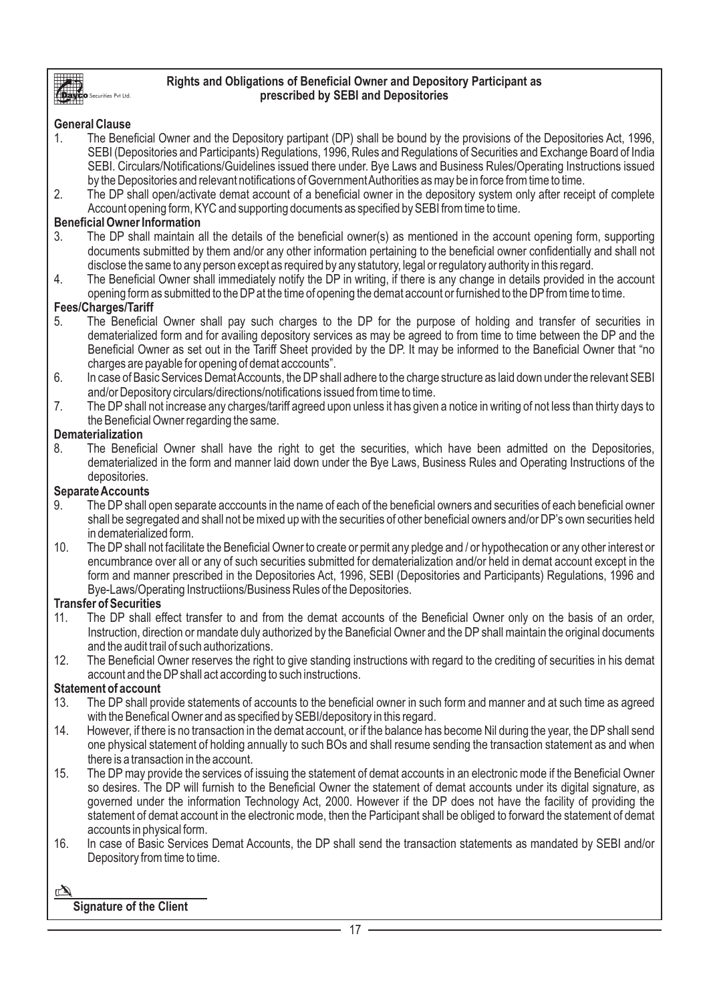

### **Rights and Obligations of Beneficial Owner and Depository Participant as prescribed by SEBI and Depositories**

# **General Clause**

.<br>Securities Pvt Ltd.

- 1. The Beneficial Owner and the Depository partipant (DP) shall be bound by the provisions of the Depositories Act, 1996, SEBI (Depositories and Participants) Regulations, 1996, Rules and Regulations of Securities and Exchange Board of India SEBI. Circulars/Notifications/Guidelines issued there under. Bye Laws and Business Rules/Operating Instructions issued by the Depositories and relevant notifications of Government Authorities as may be in force from time to time.
- 2. The DP shall open/activate demat account of a beneficial owner in the depository system only after receipt of complete Account opening form, KYC and supporting documents as specified by SEBI from time to time.

### **Beneficial Owner Information**

- 3. The DP shall maintain all the details of the beneficial owner(s) as mentioned in the account opening form, supporting documents submitted by them and/or any other information pertaining to the beneficial owner confidentially and shall not disclose the same to any person except as required by any statutory, legal or regulatory authority in this regard.
- 4. The Beneficial Owner shall immediately notify the DP in writing, if there is any change in details provided in the account opening form as submitted to the DP at the time of opening the demat account or furnished to the DP from time to time.

#### **Fees/Charges/Tariff**

- 5. The Beneficial Owner shall pay such charges to the DP for the purpose of holding and transfer of securities in dematerialized form and for availing depository services as may be agreed to from time to time between the DP and the Beneficial Owner as set out in the Tariff Sheet provided by the DP. It may be informed to the Baneficial Owner that "no charges are payable for opening of demat acccounts".
- 6. In case of Basic Services Demat Accounts, the DPshall adhere to the charge structure as laid down under the relevant SEBI and/or Depository circulars/directions/notifications issued from time to time.
- 7. The DP shall not increase any charges/tariff agreed upon unless it has given a notice in writing of not less than thirty days to the Beneficial Owner regarding the same.

#### **Dematerialization**

8. The Beneficial Owner shall have the right to get the securities, which have been admitted on the Depositories, dematerialized in the form and manner laid down under the Bye Laws, Business Rules and Operating Instructions of the depositories.

# **Separate Accounts**

- 9. The DP shall open separate acccounts in the name of each of the beneficial owners and securities of each beneficial owner shall be segregated and shall not be mixed up with the securities of other beneficial owners and/or DP's own securities held in dematerialized form.
- 10. The DPshall not facilitate the Beneficial Owner to create or permit any pledge and / or hypothecation or any other interest or encumbrance over all or any of such securities submitted for dematerialization and/or held in demat account except in the form and manner prescribed in the Depositories Act, 1996, SEBI (Depositories and Participants) Regulations, 1996 and Bye-Laws/Operating Instructiions/Business Rules of the Depositories.

# **Transfer of Securities**

- 11. The DP shall effect transfer to and from the demat accounts of the Beneficial Owner only on the basis of an order, Instruction, direction or mandate duly authorized by the Baneficial Owner and the DP shall maintain the original documents and the audit trail of such authorizations.
- 12. The Beneficial Owner reserves the right to give standing instructions with regard to the crediting of securities in his demat account and the DPshall act according to such instructions.

# **Statement of account**

- 13. The DP shall provide statements of accounts to the beneficial owner in such form and manner and at such time as agreed with the Benefical Owner and as specified by SEBI/depository in this regard.
- 14. However, if there is no transaction in the demat account, or if the balance has become Nil during the year, the DP shall send one physical statement of holding annually to such BOs and shall resume sending the transaction statement as and when there is a transaction in the account.
- 15. The DPmay provide the services of issuing the statement of demat accounts in an electronic mode if the Beneficial Owner so desires. The DP will furnish to the Beneficial Owner the statement of demat accounts under its digital signature, as governed under the information Technology Act, 2000. However if the DP does not have the facility of providing the statement of demat account in the electronic mode, then the Participant shall be obliged to forward the statement of demat accounts in physical form.
- 16. In case of Basic Services Demat Accounts, the DP shall send the transaction statements as mandated by SEBI and/or Depository from time to time.

# **Signature of the Client**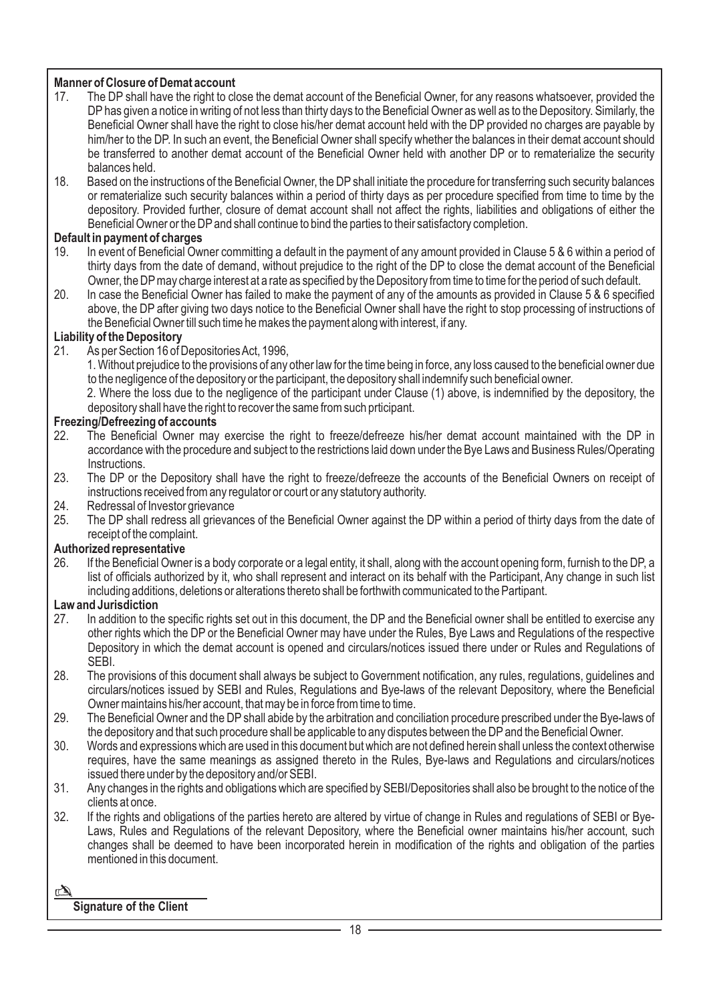# **Manner of Closure of Demat account**<br>17. The DP shall have the right to close

- The DP shall have the right to close the demat account of the Beneficial Owner, for any reasons whatsoever, provided the DPhas given a notice in writing of not less than thirty days to the Beneficial Owner as well as to the Depository. Similarly, the Beneficial Owner shall have the right to close his/her demat account held with the DP provided no charges are payable by him/her to the DP. In such an event, the Beneficial Owner shall specify whether the balances in their demat account should be transferred to another demat account of the Beneficial Owner held with another DP or to rematerialize the security balances held.
- 18. Based on the instructions of the Beneficial Owner, the DP shall initiate the procedure for transferring such security balances or rematerialize such security balances within a period of thirty days as per procedure specified from time to time by the depository. Provided further, closure of demat account shall not affect the rights, liabilities and obligations of either the Beneficial Owner or the DP and shall continue to bind the parties to their satisfactory completion.

#### **Default in payment of charges**

- 19. In event of Beneficial Owner committing a default in the payment of any amount provided in Clause 5 & 6 within a period of thirty days from the date of demand, without prejudice to the right of the DP to close the demat account of the Beneficial Owner, the DPmay charge interest at a rate as specified by the Depository from time to time for the period of such default.
- 20. In case the Beneficial Owner has failed to make the payment of any of the amounts as provided in Clause 5 & 6 specified above, the DP after giving two days notice to the Beneficial Owner shall have the right to stop processing of instructions of the Beneficial Owner till such time he makes the payment along with interest, if any.

#### **Liability of the Depository**

21. As per Section 16 of Depositories Act, 1996,

1. Without prejudice to the provisions of any other law for the time being in force, any loss caused to the beneficial owner due to the negligence of the depository or the participant, the depository shall indemnify such beneficial owner.

2. Where the loss due to the negligence of the participant under Clause (1) above, is indemnified by the depository, the depository shall have the right to recover the same from such prticipant.

# **Freezing/Defreezing of accounts**<br>22. The Beneficial Owner may

- The Beneficial Owner may exercise the right to freeze/defreeze his/her demat account maintained with the DP in accordance with the procedure and subject to the restrictions laid down under the Bye Laws and Business Rules/Operating Instructions.
- 23. The DP or the Depository shall have the right to freeze/defreeze the accounts of the Beneficial Owners on receipt of instructions received from any regulator or court or any statutory authority.
- 24. Redressal of Investor grievance
- 25. The DP shall redress all grievances of the Beneficial Owner against the DP within a period of thirty days from the date of receipt of the complaint.

#### **Authorized representative**

26. If the Beneficial Owner is a body corporate or a legal entity, it shall, along with the account opening form, furnish to the DP, a list of officials authorized by it, who shall represent and interact on its behalf with the Participant, Any change in such list including additions, deletions or alterations thereto shall be forthwith communicated to the Partipant.

# **Law and Jurisdiction**

- In addition to the specific rights set out in this document, the DP and the Beneficial owner shall be entitled to exercise any other rights which the DP or the Beneficial Owner may have under the Rules, Bye Laws and Regulations of the respective Depository in which the demat account is opened and circulars/notices issued there under or Rules and Regulations of SEBI.
- 28. The provisions of this document shall always be subject to Government notification, any rules, regulations, guidelines and circulars/notices issued by SEBI and Rules, Regulations and Bye-laws of the relevant Depository, where the Beneficial Owner maintains his/her account, that may be in force from time to time.
- 29. The Beneficial Owner and the DP shall abide by the arbitration and conciliation procedure prescribed under the Bye-laws of the depository and that such procedure shall be applicable to any disputes between the DPand the Beneficial Owner.
- 30. Words and expressions which are used in this document but which are not defined herein shall unless the context otherwise requires, have the same meanings as assigned thereto in the Rules, Bye-laws and Regulations and circulars/notices issued there under by the depository and/or SEBI.
- 31. Any changes in the rights and obligations which are specified by SEBI/Depositories shall also be brought to the notice of the clients at once.
- 32. If the rights and obligations of the parties hereto are altered by virtue of change in Rules and regulations of SEBI or Bye-Laws, Rules and Regulations of the relevant Depository, where the Beneficial owner maintains his/her account, such changes shall be deemed to have been incorporated herein in modification of the rights and obligation of the parties mentioned in this document.

# **Signature of the Client**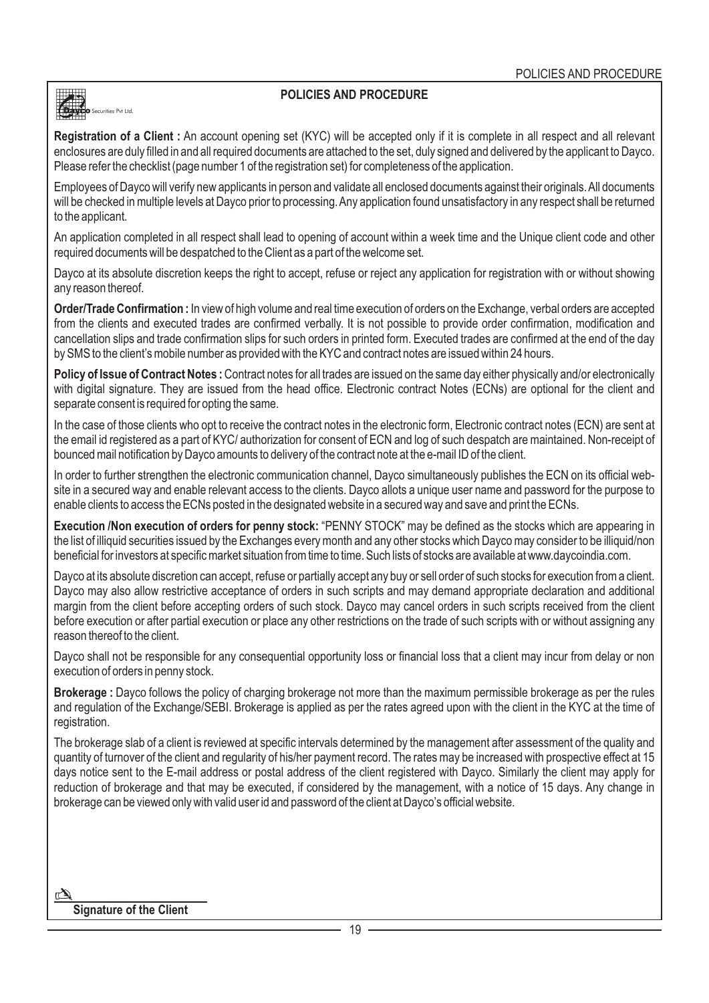#### **POLICIES AND PROCEDURE**

**Registration of a Client :** An account opening set (KYC) will be accepted only if it is complete in all respect and all relevant enclosures are duly filled in and all required documents are attached to the set, duly signed and delivered by the applicant to Dayco. Please refer the checklist (page number 1 of the registration set) for completeness of the application.

Employees of Dayco will verify new applicants in person and validate all enclosed documents against their originals. All documents will be checked in multiple levels at Dayco prior to processing. Any application found unsatisfactory in any respect shall be returned to the applicant.

An application completed in all respect shall lead to opening of account within a week time and the Unique client code and other required documents will be despatched to the Client as a part of the welcome set.

Dayco at its absolute discretion keeps the right to accept, refuse or reject any application for registration with or without showing any reason thereof.

**Order/Trade Confirmation :** In view of high volume and real time execution of orders on the Exchange, verbal orders are accepted from the clients and executed trades are confirmed verbally. It is not possible to provide order confirmation, modification and cancellation slips and trade confirmation slips for such orders in printed form. Executed trades are confirmed at the end of the day by SMS to the client's mobile number as provided with the KYC and contract notes are issued within 24 hours.

**Policy of Issue of Contract Notes :** Contract notes for all trades are issued on the same day either physically and/or electronically with digital signature. They are issued from the head office. Electronic contract Notes (ECNs) are optional for the client and separate consent is required for opting the same.

In the case of those clients who opt to receive the contract notes in the electronic form, Electronic contract notes (ECN) are sent at the email id registered as a part of KYC/ authorization for consent of ECN and log of such despatch are maintained. Non-receipt of bounced mail notification by Dayco amounts to delivery of the contract note at the e-mail ID of the client.

In order to further strengthen the electronic communication channel, Dayco simultaneously publishes the ECN on its official website in a secured way and enable relevant access to the clients. Dayco allots a unique user name and password for the purpose to enable clients to access the ECNs posted in the designated website in a secured way and save and print the ECNs.

**Execution /Non execution of orders for penny stock:** "PENNY STOCK" may be defined as the stocks which are appearing in the list of illiquid securities issued by the Exchanges every month and any other stocks which Dayco may consider to be illiquid/non beneficial for investors at specific market situation from time to time. Such lists of stocks are available at www.daycoindia.com.

Dayco at its absolute discretion can accept, refuse or partially accept any buy or sell order of such stocks for execution from a client. Dayco may also allow restrictive acceptance of orders in such scripts and may demand appropriate declaration and additional margin from the client before accepting orders of such stock. Dayco may cancel orders in such scripts received from the client before execution or after partial execution or place any other restrictions on the trade of such scripts with or without assigning any reason thereof to the client.

Dayco shall not be responsible for any consequential opportunity loss or financial loss that a client may incur from delay or non execution of orders in penny stock.

**Brokerage :** Dayco follows the policy of charging brokerage not more than the maximum permissible brokerage as per the rules and regulation of the Exchange/SEBI. Brokerage is applied as per the rates agreed upon with the client in the KYC at the time of registration.

The brokerage slab of a client is reviewed at specific intervals determined by the management after assessment of the quality and quantity of turnover of the client and regularity of his/her payment record. The rates may be increased with prospective effect at 15 days notice sent to the E-mail address or postal address of the client registered with Dayco. Similarly the client may apply for reduction of brokerage and that may be executed, if considered by the management, with a notice of 15 days. Any change in brokerage can be viewed only with valid user id and password of the client at Dayco's official website.

 $\mathbb{A}$ 

Securities Pvt Ltd.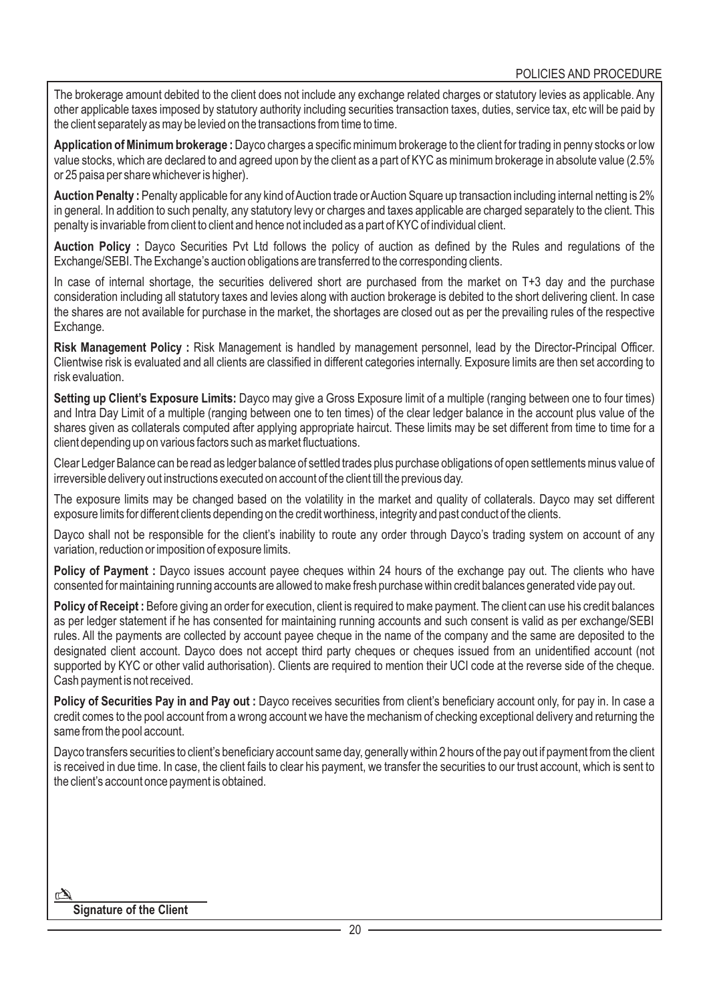The brokerage amount debited to the client does not include any exchange related charges or statutory levies as applicable. Any other applicable taxes imposed by statutory authority including securities transaction taxes, duties, service tax, etc will be paid by the client separately as may be levied on the transactions from time to time.

**Application of Minimum brokerage :** Dayco charges a specific minimum brokerage to the client for trading in penny stocks or low value stocks, which are declared to and agreed upon by the client as a part of KYC as minimum brokerage in absolute value (2.5% or 25 paisa per share whichever is higher).

**Auction Penalty :** Penalty applicable for any kind of Auction trade or Auction Square up transaction including internal netting is 2% in general. In addition to such penalty, any statutory levy or charges and taxes applicable are charged separately to the client. This penalty is invariable from client to client and hence not included as a part of KYC of individual client.

**Auction Policy :** Dayco Securities Pvt Ltd follows the policy of auction as defined by the Rules and regulations of the Exchange/SEBI. The Exchange's auction obligations are transferred to the corresponding clients.

In case of internal shortage, the securities delivered short are purchased from the market on T+3 day and the purchase consideration including all statutory taxes and levies along with auction brokerage is debited to the short delivering client. In case the shares are not available for purchase in the market, the shortages are closed out as per the prevailing rules of the respective Exchange.

**Risk Management Policy :** Risk Management is handled by management personnel, lead by the Director-Principal Officer. Clientwise risk is evaluated and all clients are classified in different categories internally. Exposure limits are then set according to risk evaluation.

**Setting up Client's Exposure Limits:** Dayco may give a Gross Exposure limit of a multiple (ranging between one to four times) and Intra Day Limit of a multiple (ranging between one to ten times) of the clear ledger balance in the account plus value of the shares given as collaterals computed after applying appropriate haircut. These limits may be set different from time to time for a client depending up on various factors such as market fluctuations.

Clear Ledger Balance can be read as ledger balance of settled trades plus purchase obligations of open settlements minus value of irreversible delivery out instructions executed on account of the client till the previous day.

The exposure limits may be changed based on the volatility in the market and quality of collaterals. Dayco may set different exposure limits for different clients depending on the credit worthiness, integrity and past conduct of the clients.

Dayco shall not be responsible for the client's inability to route any order through Dayco's trading system on account of any variation, reduction or imposition of exposure limits.

**Policy of Payment :** Dayco issues account payee cheques within 24 hours of the exchange pay out. The clients who have consented for maintaining running accounts are allowed to make fresh purchase within credit balances generated vide pay out.

**Policy of Receipt:** Before giving an order for execution, client is required to make payment. The client can use his credit balances as per ledger statement if he has consented for maintaining running accounts and such consent is valid as per exchange/SEBI rules. All the payments are collected by account payee cheque in the name of the company and the same are deposited to the designated client account. Dayco does not accept third party cheques or cheques issued from an unidentified account (not supported by KYC or other valid authorisation). Clients are required to mention their UCI code at the reverse side of the cheque. Cash payment is not received.

**Policy of Securities Pay in and Pay out :** Dayco receives securities from client's beneficiary account only, for pay in. In case a credit comes to the pool account from a wrong account we have the mechanism of checking exceptional delivery and returning the same from the pool account.

Dayco transfers securities to client's beneficiary account same day, generally within 2 hours of the pay out if payment from the client is received in due time. In case, the client fails to clear his payment, we transfer the securities to our trust account, which is sent to the client's account once payment is obtained.

# **Signature of the Client**

 $\mathbb{Z}$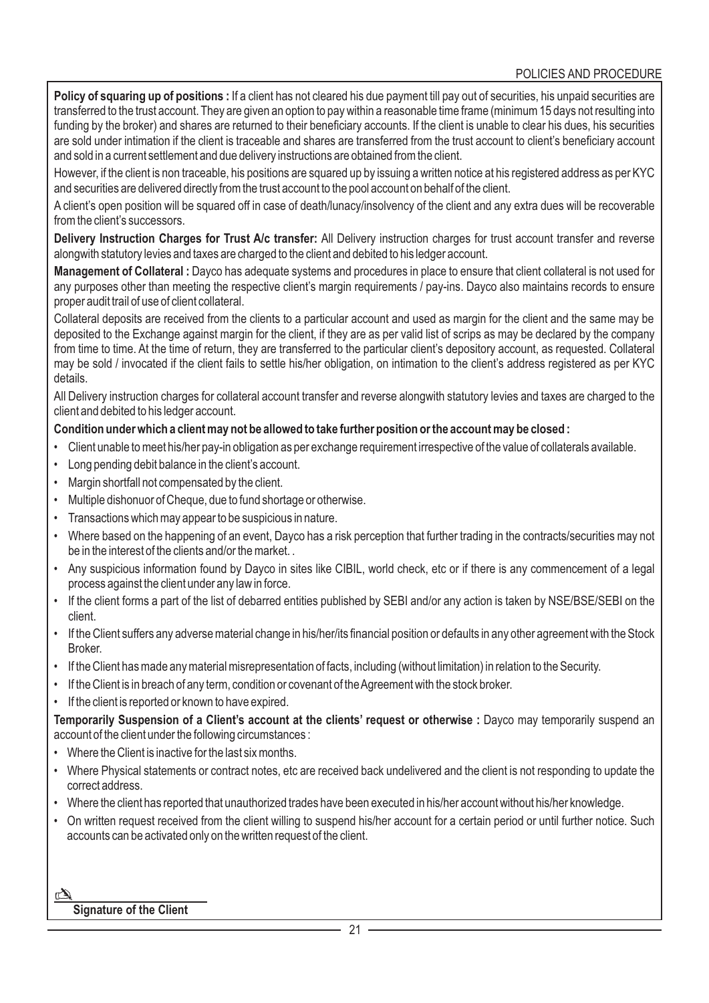Policy of squaring up of positions : If a client has not cleared his due payment till pay out of securities, his unpaid securities are transferred to the trust account. They are given an option to pay within a reasonable time frame (minimum 15 days not resulting into funding by the broker) and shares are returned to their beneficiary accounts. If the client is unable to clear his dues, his securities are sold under intimation if the client is traceable and shares are transferred from the trust account to client's beneficiary account and sold in a current settlement and due delivery instructions are obtained from the client.

However, if the client is non traceable, his positions are squared up by issuing a written notice at his registered address as per KYC and securities are delivered directly from the trust account to the pool account on behalf of the client.

A client's open position will be squared off in case of death/lunacy/insolvency of the client and any extra dues will be recoverable from the client's successors.

**Delivery Instruction Charges for Trust A/c transfer:** All Delivery instruction charges for trust account transfer and reverse alongwith statutory levies and taxes are charged to the client and debited to his ledger account.

**Management of Collateral :** Dayco has adequate systems and procedures in place to ensure that client collateral is not used for any purposes other than meeting the respective client's margin requirements / pay-ins. Dayco also maintains records to ensure proper audit trail of use of client collateral.

Collateral deposits are received from the clients to a particular account and used as margin for the client and the same may be deposited to the Exchange against margin for the client, if they are as per valid list of scrips as may be declared by the company from time to time. At the time of return, they are transferred to the particular client's depository account, as requested. Collateral may be sold / invocated if the client fails to settle his/her obligation, on intimation to the client's address registered as per KYC details.

All Delivery instruction charges for collateral account transfer and reverse alongwith statutory levies and taxes are charged to the client and debited to his ledger account.

#### **Condition under which a client may not be allowed to take further position or the account may be closed :**

- Client unable to meet his/her pay-in obligation as per exchange requirement irrespective of the value of collaterals available.
- Long pending debit balance in the client's account.
- Margin shortfall not compensated by the client.
- Multiple dishonuor of Cheque, due to fund shortage or otherwise.
- Transactions which may appear to be suspicious in nature.
- Where based on the happening of an event, Dayco has a risk perception that further trading in the contracts/securities may not be in the interest of the clients and/or the market. .
- Any suspicious information found by Dayco in sites like CIBIL, world check, etc or if there is any commencement of a legal process against the client under any law in force.
- If the client forms a part of the list of debarred entities published by SEBI and/or any action is taken by NSE/BSE/SEBI on the client.
- If the Client suffers any adverse material change in his/her/its financial position or defaults in any other agreement with the Stock Broker.
- If the Client has made any material misrepresentation of facts, including (without limitation) in relation to the Security.
- If the Client is in breach of any term, condition or covenant of the Agreement with the stock broker.
- If the client is reported or known to have expired.

**Temporarily Suspension of a Client's account at the clients' request or otherwise :** Dayco may temporarily suspend an account of the client under the following circumstances :

- Where the Client is inactive for the last six months.
- Where Physical statements or contract notes, etc are received back undelivered and the client is not responding to update the correct address.
- Where the client has reported that unauthorized trades have been executed in his/her account without his/her knowledge.
- On written request received from the client willing to suspend his/her account for a certain period or until further notice. Such accounts can be activated only on the written request of the client.

#### $\mathbb{Z}$ **Signature of the Client**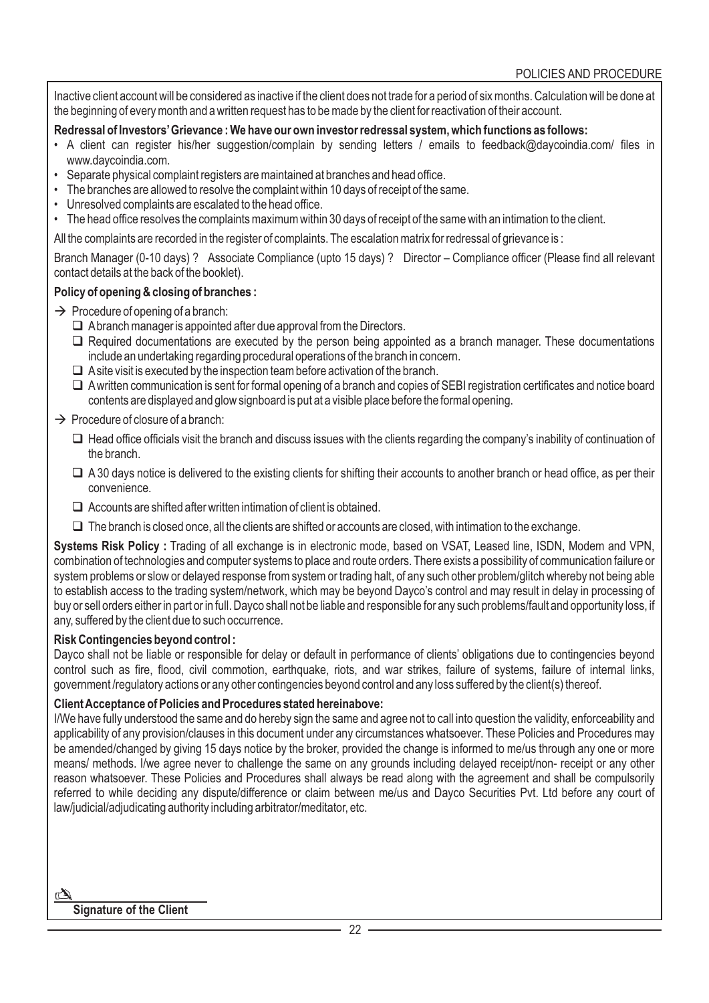Inactive client account will be considered as inactive if the client does not trade for a period of six months. Calculation will be done at the beginning of every month and a written request has to be made by the client for reactivation of their account.

#### **Redressal of Investors'Grievance : We have our own investor redressal system, which functions as follows:**

- A client can register his/her suggestion/complain by sending letters / emails to feedback@daycoindia.com/ files in www.daycoindia.com.
- Separate physical complaint registers are maintained at branches and head office.
- The branches are allowed to resolve the complaint within 10 days of receipt of the same.
- Unresolved complaints are escalated to the head office.
- The head office resolves the complaints maximum within 30 days of receipt of the same with an intimation to the client.

All the complaints are recorded in the register of complaints. The escalation matrix for redressal of grievance is :

Branch Manager (0-10 days) ? Associate Compliance (upto 15 days) ? Director – Compliance officer (Please find all relevant contact details at the back of the booklet).

#### **Policy of opening & closing of branches :**

- $\rightarrow$  Procedure of opening of a branch:
	- $\Box$  Abranch manager is appointed after due approval from the Directors.
	- $\Box$  Required documentations are executed by the person being appointed as a branch manager. These documentations include an undertaking regarding procedural operations of the branch in concern.
	- $\Box$  A site visit is executed by the inspection team before activation of the branch.
	- □ Awritten communication is sent for formal opening of a branch and copies of SEBI registration certificates and notice board contents are displayed and glow signboard is put at a visible place before the formal opening.

#### $\rightarrow$  Procedure of closure of a branch:

- $\Box$  Head office officials visit the branch and discuss issues with the clients regarding the company's inability of continuation of the branch.
- $\Box$  A 30 days notice is delivered to the existing clients for shifting their accounts to another branch or head office, as per their convenience.
- $\Box$  Accounts are shifted after written intimation of client is obtained.
- $\Box$  The branch is closed once, all the clients are shifted or accounts are closed, with intimation to the exchange.

**Systems Risk Policy :** Trading of all exchange is in electronic mode, based on VSAT, Leased line, ISDN, Modem and VPN, combination of technologies and computer systems to place and route orders. There exists a possibility of communication failure or system problems or slow or delayed response from system or trading halt, of any such other problem/glitch whereby not being able to establish access to the trading system/network, which may be beyond Dayco's control and may result in delay in processing of buy or sell orders either in part or in full. Dayco shall not be liable and responsible for any such problems/fault and opportunity loss, if any, suffered by the client due to such occurrence.

#### **Risk Contingencies beyond control :**

Dayco shall not be liable or responsible for delay or default in performance of clients' obligations due to contingencies beyond control such as fire, flood, civil commotion, earthquake, riots, and war strikes, failure of systems, failure of internal links, government /regulatory actions or any other contingencies beyond control and any loss suffered by the client(s) thereof.

#### **Client Acceptance of Policies and Procedures stated hereinabove:**

I/We have fully understood the same and do hereby sign the same and agree not to call into question the validity, enforceability and applicability of any provision/clauses in this document under any circumstances whatsoever. These Policies and Procedures may be amended/changed by giving 15 days notice by the broker, provided the change is informed to me/us through any one or more means/ methods. I/we agree never to challenge the same on any grounds including delayed receipt/non- receipt or any other reason whatsoever. These Policies and Procedures shall always be read along with the agreement and shall be compulsorily referred to while deciding any dispute/difference or claim between me/us and Dayco Securities Pvt. Ltd before any court of law/judicial/adjudicating authority including arbitrator/meditator, etc.

**Signature of the Client**

 $\mathbb{Z}$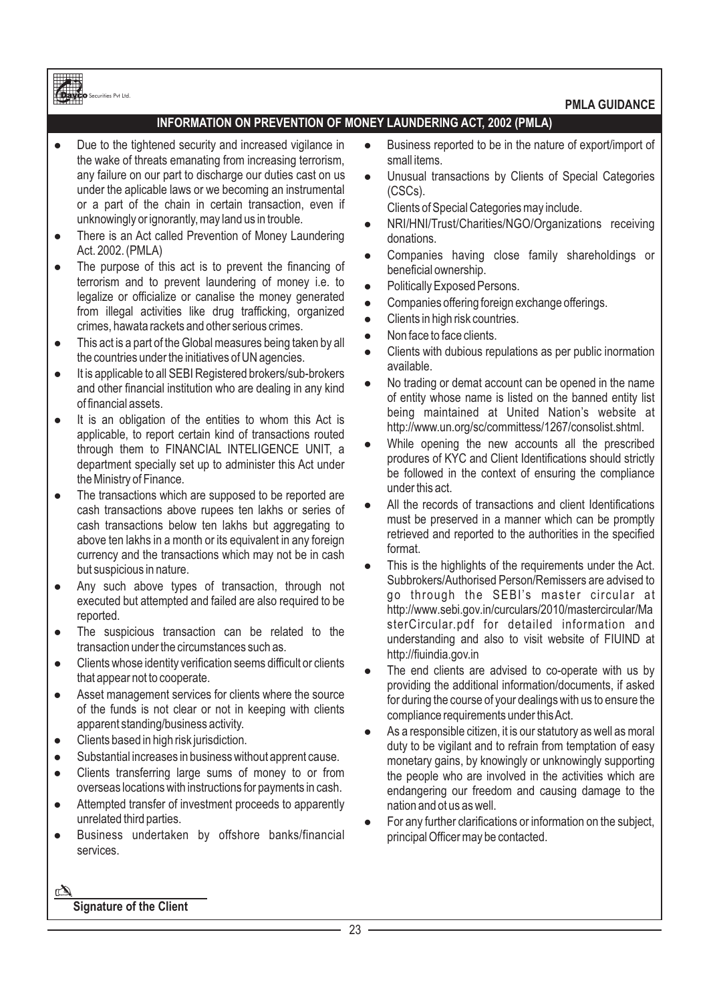**PMLA GUIDANCE**

# **INFORMATION ON PREVENTION OF MONEY LAUNDERING ACT, 2002 (PMLA)**

• Due to the tightened security and increased vigilance in the wake of threats emanating from increasing terrorism, any failure on our part to discharge our duties cast on us under the aplicable laws or we becoming an instrumental or a part of the chain in certain transaction, even if unknowingly or ignorantly, may land us in trouble.

Securities Pvt Ltd.

- There is an Act called Prevention of Money Laundering Act. 2002. (PMLA)
- The purpose of this act is to prevent the financing of terrorism and to prevent laundering of money i.e. to legalize or officialize or canalise the money generated from illegal activities like drug trafficking, organized crimes, hawata rackets and other serious crimes.
- This act is a part of the Global measures being taken by all the countries under the initiatives of UN agencies.
- l It is applicable to all SEBI Registered brokers/sub-brokers and other financial institution who are dealing in any kind of financial assets.
- l It is an obligation of the entities to whom this Act is applicable, to report certain kind of transactions routed through them to FINANCIAL INTELIGENCE UNIT, a department specially set up to administer this Act under the Ministry of Finance.
- The transactions which are supposed to be reported are cash transactions above rupees ten lakhs or series of cash transactions below ten lakhs but aggregating to above ten lakhs in a month or its equivalent in any foreign currency and the transactions which may not be in cash but suspicious in nature.
- Any such above types of transaction, through not executed but attempted and failed are also required to be reported.
- The suspicious transaction can be related to the transaction under the circumstances such as.
- Clients whose identity verification seems difficult or clients that appear not to cooperate.
- Asset management services for clients where the source of the funds is not clear or not in keeping with clients apparent standing/business activity.
- Clients based in high risk jurisdiction.
- Substantial increases in business without apprent cause.
- Clients transferring large sums of money to or from overseas locations with instructions for payments in cash.
- Attempted transfer of investment proceeds to apparently unrelated third parties.
- **•** Business undertaken by offshore banks/financial services.
- Business reported to be in the nature of export/import of small items.
- Unusual transactions by Clients of Special Categories (CSCs).

Clients of Special Categories may include.

- NRI/HNI/Trust/Charities/NGO/Organizations receiving donations.
- Companies having close family shareholdings or beneficial ownership.
- Politically Exposed Persons.
- Companies offering foreign exchange offerings.
- Clients in high risk countries.
- Non face to face clients.
- Clients with dubious repulations as per public inormation available.
- No trading or demat account can be opened in the name of entity whose name is listed on the banned entity list being maintained at United Nation's website at http://www.un.org/sc/committess/1267/consolist.shtml.
- While opening the new accounts all the prescribed produres of KYC and Client Identifications should strictly be followed in the context of ensuring the compliance under this act.
- All the records of transactions and client Identifications must be preserved in a manner which can be promptly retrieved and reported to the authorities in the specified format.
- This is the highlights of the requirements under the Act. Subbrokers/Authorised Person/Remissers are advised to go through the SEBI's master circular at http://www.sebi.gov.in/curculars/2010/mastercircular/Ma sterCircular.pdf for detailed information and understanding and also to visit website of FIUIND at http://fiuindia.gov.in
- The end clients are advised to co-operate with us by providing the additional information/documents, if asked for during the course of your dealings with us to ensure the compliance requirements under this Act.
- As a responsible citizen, it is our statutory as well as moral duty to be vigilant and to refrain from temptation of easy monetary gains, by knowingly or unknowingly supporting the people who are involved in the activities which are endangering our freedom and causing damage to the nation and ot us as well.
- For any further clarifications or information on the subject, principal Officer may be contacted.

**Signature of the Client**

 $\mathbb{Z}$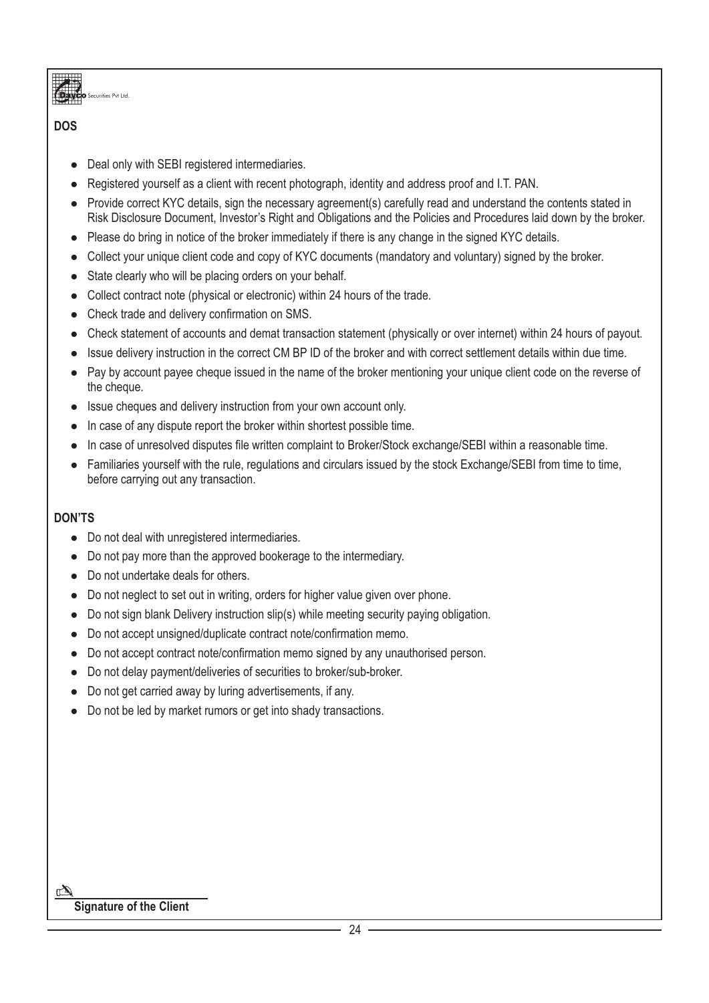.<br>Sec Pvt Ltd.

# **DOS**

- Deal only with SEBI registered intermediaries.
- Registered yourself as a client with recent photograph, identity and address proof and I.T. PAN.
- Provide correct KYC details, sign the necessary agreement(s) carefully read and understand the contents stated in Risk Disclosure Document, Investor's Right and Obligations and the Policies and Procedures laid down by the broker.
- Please do bring in notice of the broker immediately if there is any change in the signed KYC details.
- Collect your unique client code and copy of KYC documents (mandatory and voluntary) signed by the broker.
- State clearly who will be placing orders on your behalf.
- Collect contract note (physical or electronic) within 24 hours of the trade.
- Check trade and delivery confirmation on SMS.
- Check statement of accounts and demat transaction statement (physically or over internet) within 24 hours of payout.
- l Issue delivery instruction in the correct CM BP ID of the broker and with correct settlement details within due time.
- Pay by account payee cheque issued in the name of the broker mentioning your unique client code on the reverse of the cheque.
- Issue cheques and delivery instruction from your own account only.
- In case of any dispute report the broker within shortest possible time.
- l In case of unresolved disputes file written complaint to Broker/Stock exchange/SEBI within a reasonable time.
- Familiaries yourself with the rule, regulations and circulars issued by the stock Exchange/SEBI from time to time, before carrying out any transaction.

# **DON'TS**

- Do not deal with unregistered intermediaries.
- Do not pay more than the approved bookerage to the intermediary.
- Do not undertake deals for others.
- Do not neglect to set out in writing, orders for higher value given over phone.
- Do not sign blank Delivery instruction slip(s) while meeting security paying obligation.
- Do not accept unsigned/duplicate contract note/confirmation memo.
- Do not accept contract note/confirmation memo signed by any unauthorised person.
- Do not delay payment/deliveries of securities to broker/sub-broker.
- Do not get carried away by luring advertisements, if any.
- Do not be led by market rumors or get into shady transactions.